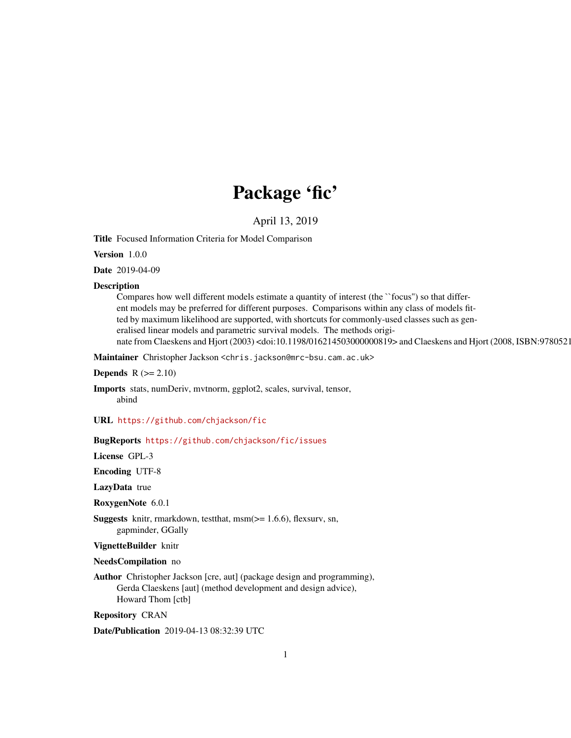## Package 'fic'

April 13, 2019

<span id="page-0-0"></span>Title Focused Information Criteria for Model Comparison

Version 1.0.0

Date 2019-04-09

### **Description**

Compares how well different models estimate a quantity of interest (the ``focus'') so that different models may be preferred for different purposes. Comparisons within any class of models fitted by maximum likelihood are supported, with shortcuts for commonly-used classes such as generalised linear models and parametric survival models. The methods originate from Claeskens and Hjort (2003) <doi:10.1198/016214503000000819> and Claeskens and Hjort (2008, ISBN:9780521

Maintainer Christopher Jackson <chris.jackson@mrc-bsu.cam.ac.uk>

**Depends**  $R$  ( $>= 2.10$ )

Imports stats, numDeriv, mvtnorm, ggplot2, scales, survival, tensor, abind

URL <https://github.com/chjackson/fic>

### BugReports <https://github.com/chjackson/fic/issues>

License GPL-3

Encoding UTF-8

LazyData true

RoxygenNote 6.0.1

Suggests knitr, rmarkdown, testthat, msm(>= 1.6.6), flexsurv, sn, gapminder, GGally

VignetteBuilder knitr

NeedsCompilation no

Author Christopher Jackson [cre, aut] (package design and programming), Gerda Claeskens [aut] (method development and design advice), Howard Thom [ctb]

Repository CRAN

Date/Publication 2019-04-13 08:32:39 UTC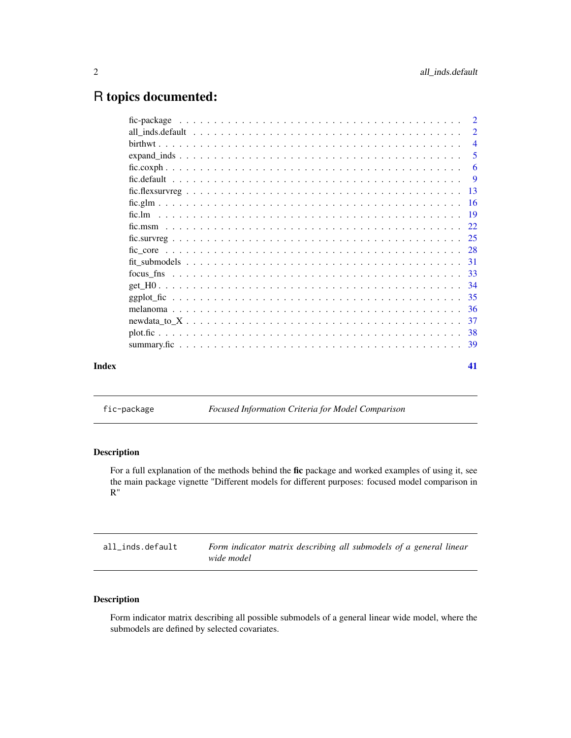## <span id="page-1-0"></span>R topics documented:

|       | $\overline{4}$ |
|-------|----------------|
|       |                |
|       |                |
|       |                |
|       |                |
|       |                |
|       |                |
|       |                |
|       |                |
|       |                |
|       |                |
|       |                |
|       |                |
|       |                |
|       |                |
|       |                |
|       |                |
|       |                |
| Index | 41             |

fic-package *Focused Information Criteria for Model Comparison*

### Description

For a full explanation of the methods behind the fic package and worked examples of using it, see the main package vignette "Different models for different purposes: focused model comparison in R"

all\_inds.default *Form indicator matrix describing all submodels of a general linear wide model*

### <span id="page-1-1"></span>Description

Form indicator matrix describing all possible submodels of a general linear wide model, where the submodels are defined by selected covariates.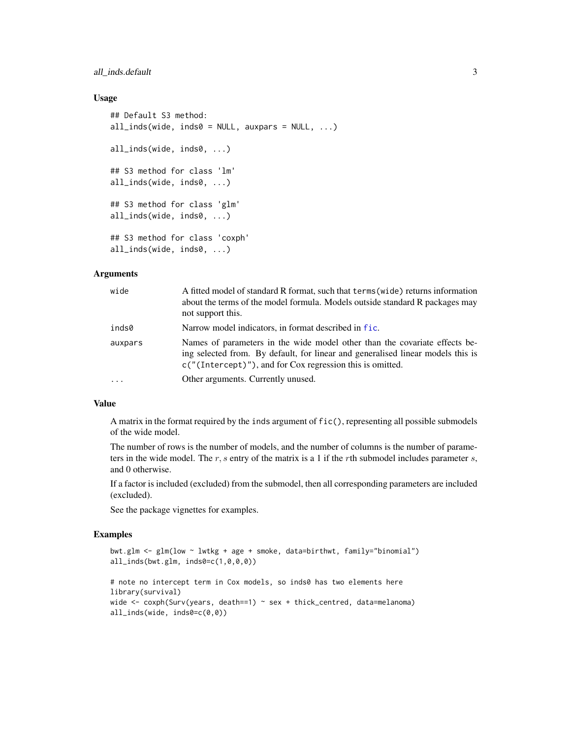### <span id="page-2-0"></span>all\_inds.default 3

### Usage

```
## Default S3 method:
all\_inds(wide, inds0 = NULL, auxpars = NULL, ...)all_inds(wide, inds0, ...)
## S3 method for class 'lm'
all_inds(wide, inds0, ...)
## S3 method for class 'glm'
all_inds(wide, inds0, ...)
## S3 method for class 'coxph'
all_inds(wide, inds0, ...)
```
#### Arguments

| wide     | A fitted model of standard R format, such that terms (wide) returns information<br>about the terms of the model formula. Models outside standard R packages may<br>not support this.                                        |
|----------|-----------------------------------------------------------------------------------------------------------------------------------------------------------------------------------------------------------------------------|
| inds0    | Narrow model indicators, in format described in fic.                                                                                                                                                                        |
| auxpars  | Names of parameters in the wide model other than the covariate effects be-<br>ing selected from. By default, for linear and generalised linear models this is<br>$c("Intercept)"),$ and for Cox regression this is omitted. |
| $\cdots$ | Other arguments. Currently unused.                                                                                                                                                                                          |

### Value

A matrix in the format required by the inds argument of fic(), representing all possible submodels of the wide model.

The number of rows is the number of models, and the number of columns is the number of parameters in the wide model. The r, s entry of the matrix is a 1 if the rth submodel includes parameter s, and 0 otherwise.

If a factor is included (excluded) from the submodel, then all corresponding parameters are included (excluded).

See the package vignettes for examples.

### Examples

```
bwt.glm <- glm(low ~ lwtkg + age + smoke, data=birthwt, family="binomial")
all_inds(bwt.glm, inds0=c(1,0,0,0))
# note no intercept term in Cox models, so inds0 has two elements here
library(survival)
wide \leq coxph(Surv(years, death==1) \sim sex + thick_centred, data=melanoma)
all_inds(wide, inds0=c(0,0))
```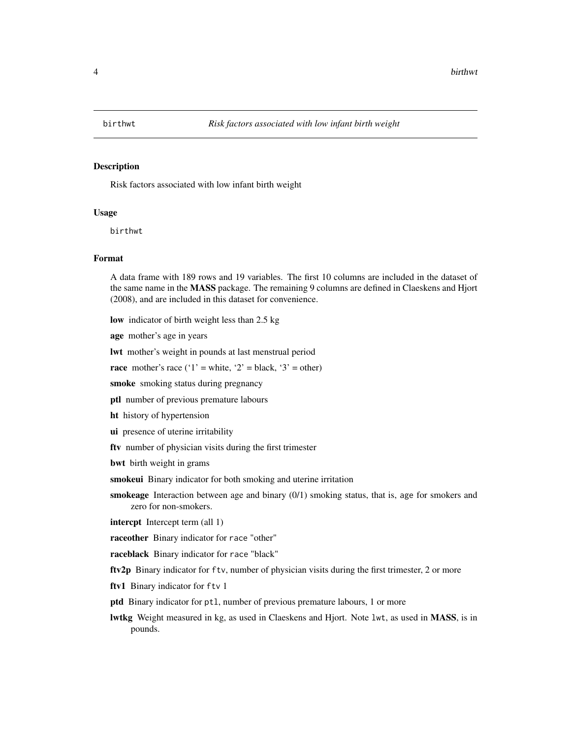<span id="page-3-0"></span>

#### Description

Risk factors associated with low infant birth weight

#### Usage

birthwt

#### Format

A data frame with 189 rows and 19 variables. The first 10 columns are included in the dataset of the same name in the MASS package. The remaining 9 columns are defined in Claeskens and Hjort (2008), and are included in this dataset for convenience.

low indicator of birth weight less than 2.5 kg

age mother's age in years

lwt mother's weight in pounds at last menstrual period

race mother's race ('1' = white, '2' = black, '3' = other)

smoke smoking status during pregnancy

ptl number of previous premature labours

ht history of hypertension

ui presence of uterine irritability

ftv number of physician visits during the first trimester

bwt birth weight in grams

smokeui Binary indicator for both smoking and uterine irritation

smokeage Interaction between age and binary  $(0/1)$  smoking status, that is, age for smokers and zero for non-smokers.

intercpt Intercept term (all 1)

raceother Binary indicator for race "other"

raceblack Binary indicator for race "black"

ftv2p Binary indicator for ftv, number of physician visits during the first trimester, 2 or more

ftv1 Binary indicator for ftv 1

ptd Binary indicator for ptl, number of previous premature labours, 1 or more

lwtkg Weight measured in kg, as used in Claeskens and Hjort. Note lwt, as used in MASS, is in pounds.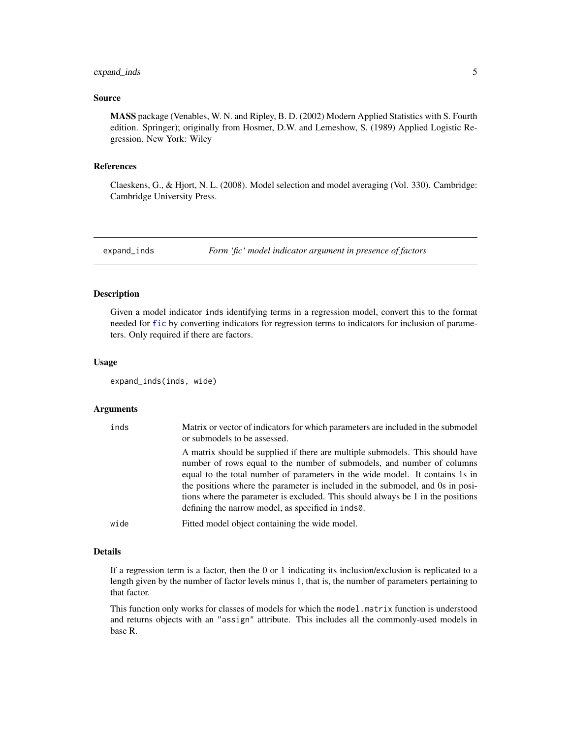### <span id="page-4-0"></span>expand\_inds 5

#### Source

MASS package (Venables, W. N. and Ripley, B. D. (2002) Modern Applied Statistics with S. Fourth edition. Springer); originally from Hosmer, D.W. and Lemeshow, S. (1989) Applied Logistic Regression. New York: Wiley

#### References

Claeskens, G., & Hjort, N. L. (2008). Model selection and model averaging (Vol. 330). Cambridge: Cambridge University Press.

expand\_inds *Form 'fic' model indicator argument in presence of factors*

### Description

Given a model indicator inds identifying terms in a regression model, convert this to the format needed for [fic](#page-8-1) by converting indicators for regression terms to indicators for inclusion of parameters. Only required if there are factors.

### Usage

```
expand_inds(inds, wide)
```
#### **Arguments**

| inds | Matrix or vector of indicators for which parameters are included in the submodel<br>or submodels to be assessed.                                                                                                                                                                                                                                                                                                                                                  |
|------|-------------------------------------------------------------------------------------------------------------------------------------------------------------------------------------------------------------------------------------------------------------------------------------------------------------------------------------------------------------------------------------------------------------------------------------------------------------------|
|      | A matrix should be supplied if there are multiple submodels. This should have<br>number of rows equal to the number of submodels, and number of columns<br>equal to the total number of parameters in the wide model. It contains 1s in<br>the positions where the parameter is included in the submodel, and 0s in posi-<br>tions where the parameter is excluded. This should always be 1 in the positions<br>defining the narrow model, as specified in inds0. |
| wide | Fitted model object containing the wide model.                                                                                                                                                                                                                                                                                                                                                                                                                    |

#### Details

If a regression term is a factor, then the 0 or 1 indicating its inclusion/exclusion is replicated to a length given by the number of factor levels minus 1, that is, the number of parameters pertaining to that factor.

This function only works for classes of models for which the model.matrix function is understood and returns objects with an "assign" attribute. This includes all the commonly-used models in base R.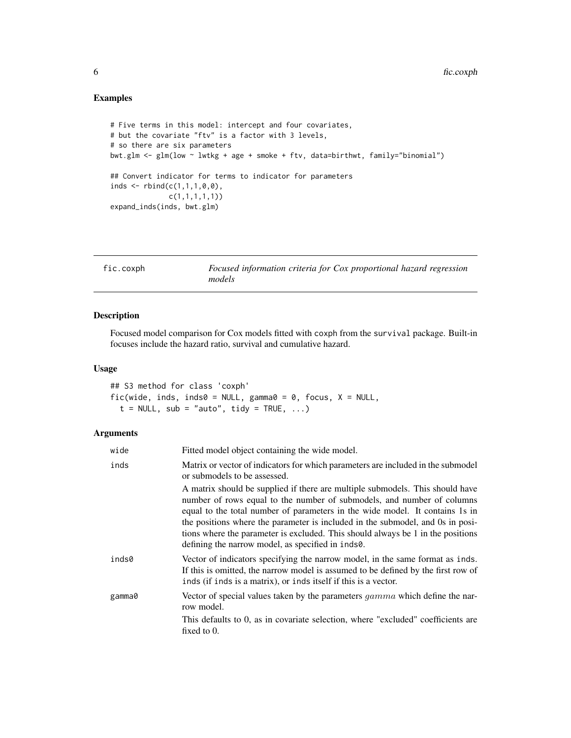### <span id="page-5-0"></span>Examples

```
# Five terms in this model: intercept and four covariates,
# but the covariate "ftv" is a factor with 3 levels,
# so there are six parameters
bwt.glm <- glm(low ~ lwtkg + age + smoke + ftv, data=birthwt, family="binomial")
## Convert indicator for terms to indicator for parameters
inds \leq rbind(c(1,1,1,0,0),
              c(1,1,1,1,1))
expand_inds(inds, bwt.glm)
```

| fic.coxph | Focused information criteria for Cox proportional hazard regression |
|-----------|---------------------------------------------------------------------|
|           | models                                                              |

### Description

Focused model comparison for Cox models fitted with coxph from the survival package. Built-in focuses include the hazard ratio, survival and cumulative hazard.

### Usage

## S3 method for class 'coxph' fic(wide, inds, inds0 = NULL, gamma0 = 0, focus,  $X = NULL$ ,  $t = NULL$ , sub = "auto", tidy = TRUE, ...)

| wide   | Fitted model object containing the wide model.                                                                                                                                                                                                                                                                                                                                                                                                                    |
|--------|-------------------------------------------------------------------------------------------------------------------------------------------------------------------------------------------------------------------------------------------------------------------------------------------------------------------------------------------------------------------------------------------------------------------------------------------------------------------|
| inds   | Matrix or vector of indicators for which parameters are included in the submodel<br>or submodels to be assessed.                                                                                                                                                                                                                                                                                                                                                  |
|        | A matrix should be supplied if there are multiple submodels. This should have<br>number of rows equal to the number of submodels, and number of columns<br>equal to the total number of parameters in the wide model. It contains 1s in<br>the positions where the parameter is included in the submodel, and 0s in posi-<br>tions where the parameter is excluded. This should always be 1 in the positions<br>defining the narrow model, as specified in inds0. |
| inds0  | Vector of indicators specifying the narrow model, in the same format as inds.<br>If this is omitted, the narrow model is assumed to be defined by the first row of<br>inds (if inds is a matrix), or inds itself if this is a vector.                                                                                                                                                                                                                             |
| gamma0 | Vector of special values taken by the parameters <i>gamma</i> which define the nar-<br>row model.                                                                                                                                                                                                                                                                                                                                                                 |
|        | This defaults to 0, as in covariate selection, where "excluded" coefficients are<br>fixed to $0$ .                                                                                                                                                                                                                                                                                                                                                                |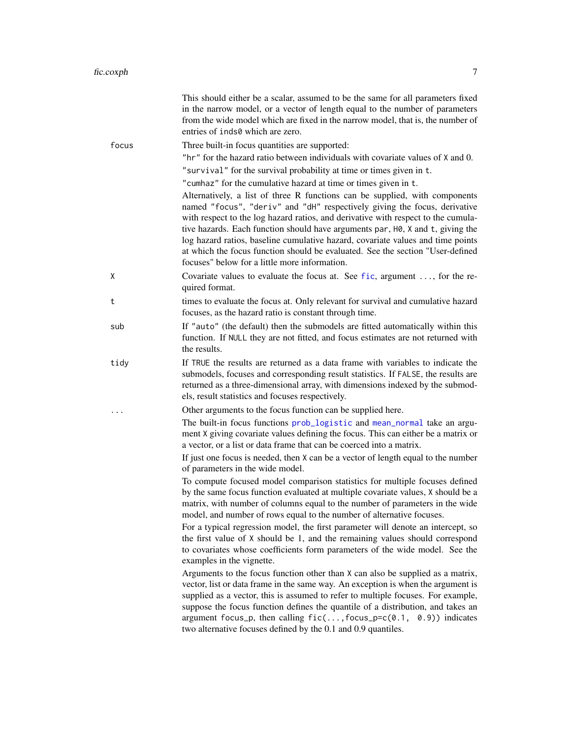<span id="page-6-0"></span>

|       | This should either be a scalar, assumed to be the same for all parameters fixed<br>in the narrow model, or a vector of length equal to the number of parameters<br>from the wide model which are fixed in the narrow model, that is, the number of<br>entries of inds0 which are zero.                                                                                                                                                                                                                                                                |
|-------|-------------------------------------------------------------------------------------------------------------------------------------------------------------------------------------------------------------------------------------------------------------------------------------------------------------------------------------------------------------------------------------------------------------------------------------------------------------------------------------------------------------------------------------------------------|
| focus | Three built-in focus quantities are supported:                                                                                                                                                                                                                                                                                                                                                                                                                                                                                                        |
|       | "hr" for the hazard ratio between individuals with covariate values of X and 0.                                                                                                                                                                                                                                                                                                                                                                                                                                                                       |
|       | "survival" for the survival probability at time or times given in t.                                                                                                                                                                                                                                                                                                                                                                                                                                                                                  |
|       | "cumhaz" for the cumulative hazard at time or times given in t.                                                                                                                                                                                                                                                                                                                                                                                                                                                                                       |
|       | Alternatively, a list of three R functions can be supplied, with components<br>named "focus", "deriv" and "dH" respectively giving the focus, derivative<br>with respect to the log hazard ratios, and derivative with respect to the cumula-<br>tive hazards. Each function should have arguments par, H0, X and t, giving the<br>log hazard ratios, baseline cumulative hazard, covariate values and time points<br>at which the focus function should be evaluated. See the section "User-defined<br>focuses" below for a little more information. |
| Χ     | Covariate values to evaluate the focus at. See $f$ ic, argument , for the re-<br>quired format.                                                                                                                                                                                                                                                                                                                                                                                                                                                       |
| t     | times to evaluate the focus at. Only relevant for survival and cumulative hazard<br>focuses, as the hazard ratio is constant through time.                                                                                                                                                                                                                                                                                                                                                                                                            |
| sub   | If "auto" (the default) then the submodels are fitted automatically within this<br>function. If NULL they are not fitted, and focus estimates are not returned with<br>the results.                                                                                                                                                                                                                                                                                                                                                                   |
| tidy  | If TRUE the results are returned as a data frame with variables to indicate the<br>submodels, focuses and corresponding result statistics. If FALSE, the results are<br>returned as a three-dimensional array, with dimensions indexed by the submod-<br>els, result statistics and focuses respectively.                                                                                                                                                                                                                                             |
| .     | Other arguments to the focus function can be supplied here.                                                                                                                                                                                                                                                                                                                                                                                                                                                                                           |
|       | The built-in focus functions prob_logistic and mean_normal take an argu-<br>ment X giving covariate values defining the focus. This can either be a matrix or<br>a vector, or a list or data frame that can be coerced into a matrix.<br>If just one focus is needed, then X can be a vector of length equal to the number<br>of parameters in the wide model.                                                                                                                                                                                        |
|       | To compute focused model comparison statistics for multiple focuses defined<br>by the same focus function evaluated at multiple covariate values, X should be a<br>matrix, with number of columns equal to the number of parameters in the wide<br>model, and number of rows equal to the number of alternative focuses.                                                                                                                                                                                                                              |
|       | For a typical regression model, the first parameter will denote an intercept, so<br>the first value of X should be 1, and the remaining values should correspond<br>to covariates whose coefficients form parameters of the wide model. See the<br>examples in the vignette.                                                                                                                                                                                                                                                                          |
|       | Arguments to the focus function other than X can also be supplied as a matrix,<br>vector, list or data frame in the same way. An exception is when the argument is<br>supplied as a vector, this is assumed to refer to multiple focuses. For example,<br>suppose the focus function defines the quantile of a distribution, and takes an<br>argument focus_p, then calling $fic(, focus_p=c(0.1, 0.9))$ indicates<br>two alternative focuses defined by the 0.1 and 0.9 quantiles.                                                                   |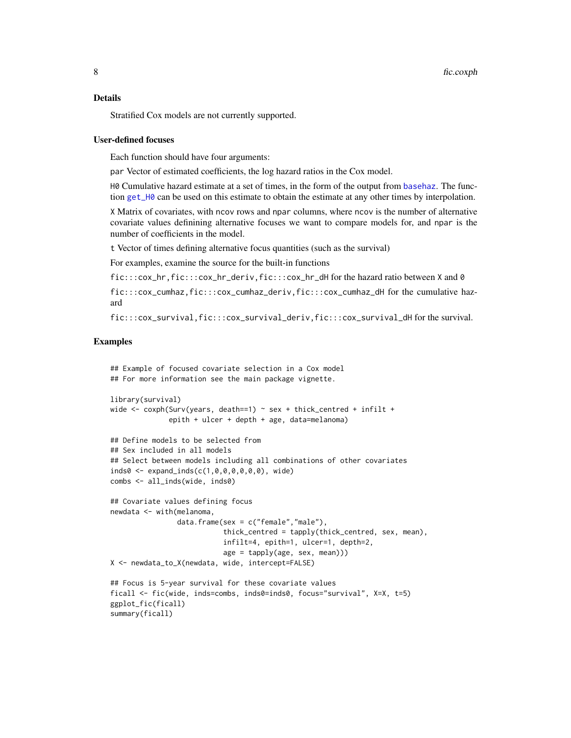#### <span id="page-7-0"></span>Details

Stratified Cox models are not currently supported.

#### User-defined focuses

Each function should have four arguments:

par Vector of estimated coefficients, the log hazard ratios in the Cox model.

H0 Cumulative hazard estimate at a set of times, in the form of the output from [basehaz](#page-0-0). The function [get\\_H0](#page-33-1) can be used on this estimate to obtain the estimate at any other times by interpolation.

X Matrix of covariates, with ncov rows and npar columns, where ncov is the number of alternative covariate values definining alternative focuses we want to compare models for, and npar is the number of coefficients in the model.

t Vector of times defining alternative focus quantities (such as the survival)

For examples, examine the source for the built-in functions

```
fic:::cox_hr,fic:::cox_hr_deriv,fic:::cox_hr_dH for the hazard ratio between X and 0
```
fic:::cox\_cumhaz,fic:::cox\_cumhaz\_deriv,fic:::cox\_cumhaz\_dH for the cumulative hazard

fic:::cox\_survival,fic:::cox\_survival\_deriv,fic:::cox\_survival\_dH for the survival.

#### Examples

## Example of focused covariate selection in a Cox model ## For more information see the main package vignette.

```
library(survival)
wide \le coxph(Surv(years, death==1) \sim sex + thick_centred + infilt +
              epith + ulcer + depth + age, data=melanoma)
```

```
## Define models to be selected from
## Sex included in all models
## Select between models including all combinations of other covariates
inds0 <- expand_inds(c(1,0,0,0,0,0,0), wide)
combs <- all_inds(wide, inds0)
```

```
## Covariate values defining focus
newdata <- with(melanoma,
                data.frame(sex = c("female","male"),
                           thick_centred = tapply(thick_centred, sex, mean),
                           infilt=4, epith=1, ulcer=1, depth=2,
                           age = tapply(age, sex, mean)))
X <- newdata_to_X(newdata, wide, intercept=FALSE)
```

```
## Focus is 5-year survival for these covariate values
ficall <- fic(wide, inds=combs, inds0=inds0, focus="survival", X=X, t=5)
ggplot_fic(ficall)
summary(ficall)
```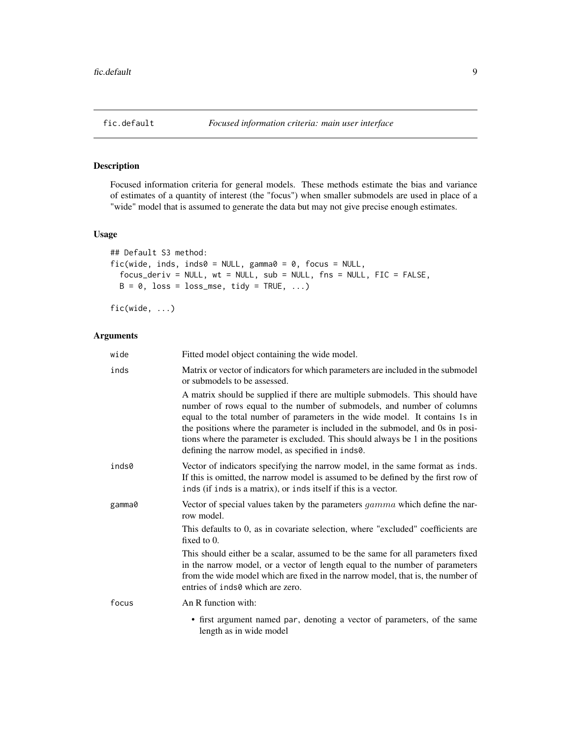<span id="page-8-0"></span>

### <span id="page-8-1"></span>Description

Focused information criteria for general models. These methods estimate the bias and variance of estimates of a quantity of interest (the "focus") when smaller submodels are used in place of a "wide" model that is assumed to generate the data but may not give precise enough estimates.

### Usage

```
## Default S3 method:
fic(wide, inds, inds0 = NULL, gamma0 = 0, focus = NULL,
  focus_deriv = NULL, wt = NULL, sub = NULL, fns = NULL, FIC = FALSE,
 B = 0, loss = loss_mse, tidy = TRUE, ...)
```
fic(wide, ...)

| wide   | Fitted model object containing the wide model.                                                                                                                                                                                                                                                                                                                                                                                                                    |
|--------|-------------------------------------------------------------------------------------------------------------------------------------------------------------------------------------------------------------------------------------------------------------------------------------------------------------------------------------------------------------------------------------------------------------------------------------------------------------------|
| inds   | Matrix or vector of indicators for which parameters are included in the submodel<br>or submodels to be assessed.                                                                                                                                                                                                                                                                                                                                                  |
|        | A matrix should be supplied if there are multiple submodels. This should have<br>number of rows equal to the number of submodels, and number of columns<br>equal to the total number of parameters in the wide model. It contains 1s in<br>the positions where the parameter is included in the submodel, and 0s in posi-<br>tions where the parameter is excluded. This should always be 1 in the positions<br>defining the narrow model, as specified in inds0. |
| inds0  | Vector of indicators specifying the narrow model, in the same format as inds.<br>If this is omitted, the narrow model is assumed to be defined by the first row of<br>inds (if inds is a matrix), or inds itself if this is a vector.                                                                                                                                                                                                                             |
| gamma0 | Vector of special values taken by the parameters $gamma$ which define the nar-<br>row model.                                                                                                                                                                                                                                                                                                                                                                      |
|        | This defaults to 0, as in covariate selection, where "excluded" coefficients are<br>fixed to 0.                                                                                                                                                                                                                                                                                                                                                                   |
|        | This should either be a scalar, assumed to be the same for all parameters fixed<br>in the narrow model, or a vector of length equal to the number of parameters<br>from the wide model which are fixed in the narrow model, that is, the number of<br>entries of inds0 which are zero.                                                                                                                                                                            |
| focus  | An R function with:                                                                                                                                                                                                                                                                                                                                                                                                                                               |
|        | • first argument named par, denoting a vector of parameters, of the same<br>length as in wide model                                                                                                                                                                                                                                                                                                                                                               |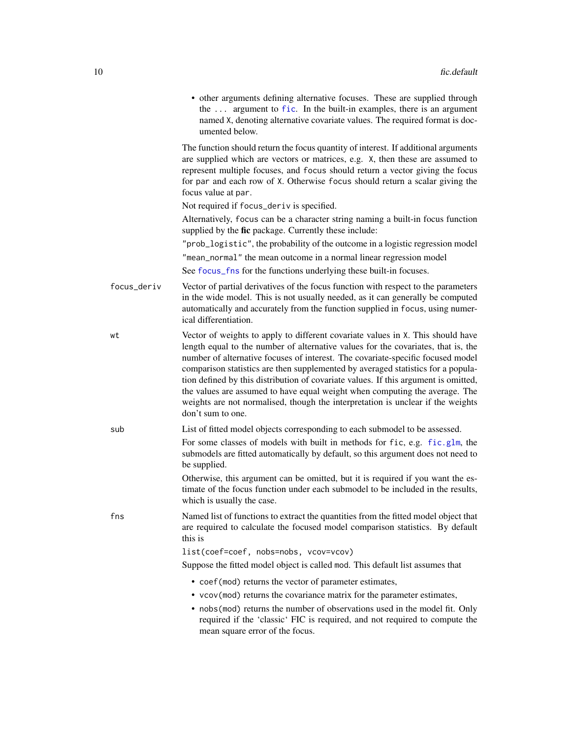<span id="page-9-0"></span>

|             | • other arguments defining alternative focuses. These are supplied through<br>the  argument to fic. In the built-in examples, there is an argument<br>named X, denoting alternative covariate values. The required format is doc-<br>umented below.                                                                                                                                                                                                                                                                                                                                                                       |
|-------------|---------------------------------------------------------------------------------------------------------------------------------------------------------------------------------------------------------------------------------------------------------------------------------------------------------------------------------------------------------------------------------------------------------------------------------------------------------------------------------------------------------------------------------------------------------------------------------------------------------------------------|
|             | The function should return the focus quantity of interest. If additional arguments<br>are supplied which are vectors or matrices, e.g. X, then these are assumed to<br>represent multiple focuses, and focus should return a vector giving the focus<br>for par and each row of X. Otherwise focus should return a scalar giving the<br>focus value at par.                                                                                                                                                                                                                                                               |
|             | Not required if focus_deriv is specified.                                                                                                                                                                                                                                                                                                                                                                                                                                                                                                                                                                                 |
|             | Alternatively, focus can be a character string naming a built-in focus function<br>supplied by the fic package. Currently these include:                                                                                                                                                                                                                                                                                                                                                                                                                                                                                  |
|             | "prob_logistic", the probability of the outcome in a logistic regression model<br>"mean_normal" the mean outcome in a normal linear regression model<br>See focus_fns for the functions underlying these built-in focuses.                                                                                                                                                                                                                                                                                                                                                                                                |
| focus_deriv | Vector of partial derivatives of the focus function with respect to the parameters<br>in the wide model. This is not usually needed, as it can generally be computed<br>automatically and accurately from the function supplied in focus, using numer-<br>ical differentiation.                                                                                                                                                                                                                                                                                                                                           |
| wt          | Vector of weights to apply to different covariate values in X. This should have<br>length equal to the number of alternative values for the covariates, that is, the<br>number of alternative focuses of interest. The covariate-specific focused model<br>comparison statistics are then supplemented by averaged statistics for a popula-<br>tion defined by this distribution of covariate values. If this argument is omitted,<br>the values are assumed to have equal weight when computing the average. The<br>weights are not normalised, though the interpretation is unclear if the weights<br>don't sum to one. |
| sub         | List of fitted model objects corresponding to each submodel to be assessed.<br>For some classes of models with built in methods for fic, e.g. fic.glm, the<br>submodels are fitted automatically by default, so this argument does not need to<br>be supplied.                                                                                                                                                                                                                                                                                                                                                            |
|             | Otherwise, this argument can be omitted, but it is required if you want the es-<br>timate of the focus function under each submodel to be included in the results,<br>which is usually the case.                                                                                                                                                                                                                                                                                                                                                                                                                          |
| fns         | Named list of functions to extract the quantities from the fitted model object that<br>are required to calculate the focused model comparison statistics. By default<br>this is                                                                                                                                                                                                                                                                                                                                                                                                                                           |
|             | list(coef=coef, nobs=nobs, vcov=vcov)                                                                                                                                                                                                                                                                                                                                                                                                                                                                                                                                                                                     |
|             | Suppose the fitted model object is called mod. This default list assumes that                                                                                                                                                                                                                                                                                                                                                                                                                                                                                                                                             |
|             | • coef (mod) returns the vector of parameter estimates,<br>• vcov(mod) returns the covariance matrix for the parameter estimates,<br>• nobs (mod) returns the number of observations used in the model fit. Only<br>required if the 'classic' FIC is required, and not required to compute the<br>mean square error of the focus.                                                                                                                                                                                                                                                                                         |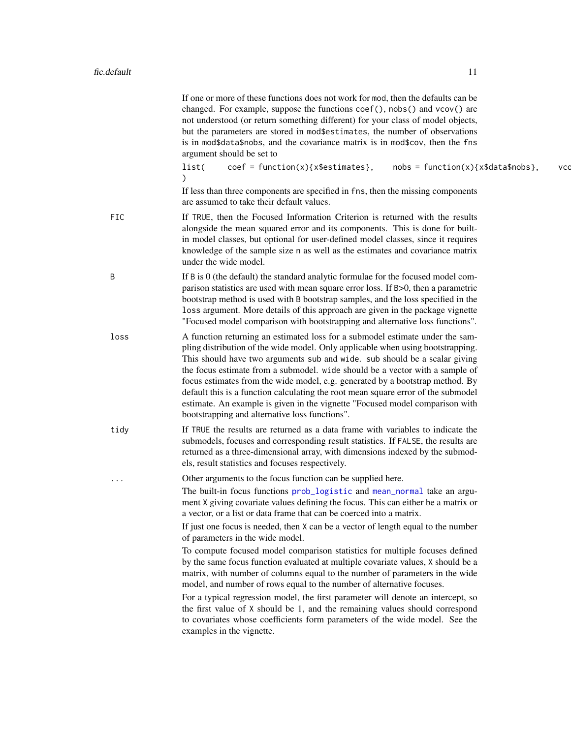<span id="page-10-0"></span>

|      | If one or more of these functions does not work for mod, then the defaults can be<br>changed. For example, suppose the functions coef(), nobs() and vcov() are<br>not understood (or return something different) for your class of model objects,<br>but the parameters are stored in mod\$estimates, the number of observations<br>is in mod\$data\$nobs, and the covariance matrix is in mod\$cov, then the fns<br>argument should be set to                                                                                                                                                                                         |     |
|------|----------------------------------------------------------------------------------------------------------------------------------------------------------------------------------------------------------------------------------------------------------------------------------------------------------------------------------------------------------------------------------------------------------------------------------------------------------------------------------------------------------------------------------------------------------------------------------------------------------------------------------------|-----|
|      | $coef = function(x)$ {x\$estimates},<br>list(<br>$nobs = function(x){x$data$nobs},$                                                                                                                                                                                                                                                                                                                                                                                                                                                                                                                                                    | vcc |
|      | If less than three components are specified in fns, then the missing components<br>are assumed to take their default values.                                                                                                                                                                                                                                                                                                                                                                                                                                                                                                           |     |
| FIC  | If TRUE, then the Focused Information Criterion is returned with the results<br>alongside the mean squared error and its components. This is done for built-<br>in model classes, but optional for user-defined model classes, since it requires<br>knowledge of the sample size n as well as the estimates and covariance matrix<br>under the wide model.                                                                                                                                                                                                                                                                             |     |
| Β    | If B is 0 (the default) the standard analytic formulae for the focused model com-<br>parison statistics are used with mean square error loss. If B>0, then a parametric<br>bootstrap method is used with B bootstrap samples, and the loss specified in the<br>loss argument. More details of this approach are given in the package vignette<br>"Focused model comparison with bootstrapping and alternative loss functions".                                                                                                                                                                                                         |     |
| loss | A function returning an estimated loss for a submodel estimate under the sam-<br>pling distribution of the wide model. Only applicable when using bootstrapping.<br>This should have two arguments sub and wide. sub should be a scalar giving<br>the focus estimate from a submodel. wide should be a vector with a sample of<br>focus estimates from the wide model, e.g. generated by a bootstrap method. By<br>default this is a function calculating the root mean square error of the submodel<br>estimate. An example is given in the vignette "Focused model comparison with<br>bootstrapping and alternative loss functions". |     |
| tidy | If TRUE the results are returned as a data frame with variables to indicate the<br>submodels, focuses and corresponding result statistics. If FALSE, the results are<br>returned as a three-dimensional array, with dimensions indexed by the submod-<br>els, result statistics and focuses respectively.                                                                                                                                                                                                                                                                                                                              |     |
| .    | Other arguments to the focus function can be supplied here.<br>The built-in focus functions prob_logistic and mean_normal take an argu-<br>ment X giving covariate values defining the focus. This can either be a matrix or<br>a vector, or a list or data frame that can be coerced into a matrix.<br>If just one focus is needed, then X can be a vector of length equal to the number<br>of parameters in the wide model.                                                                                                                                                                                                          |     |
|      | To compute focused model comparison statistics for multiple focuses defined<br>by the same focus function evaluated at multiple covariate values, X should be a<br>matrix, with number of columns equal to the number of parameters in the wide<br>model, and number of rows equal to the number of alternative focuses.                                                                                                                                                                                                                                                                                                               |     |
|      | For a typical regression model, the first parameter will denote an intercept, so<br>the first value of X should be 1, and the remaining values should correspond<br>to covariates whose coefficients form parameters of the wide model. See the<br>examples in the vignette.                                                                                                                                                                                                                                                                                                                                                           |     |
|      |                                                                                                                                                                                                                                                                                                                                                                                                                                                                                                                                                                                                                                        |     |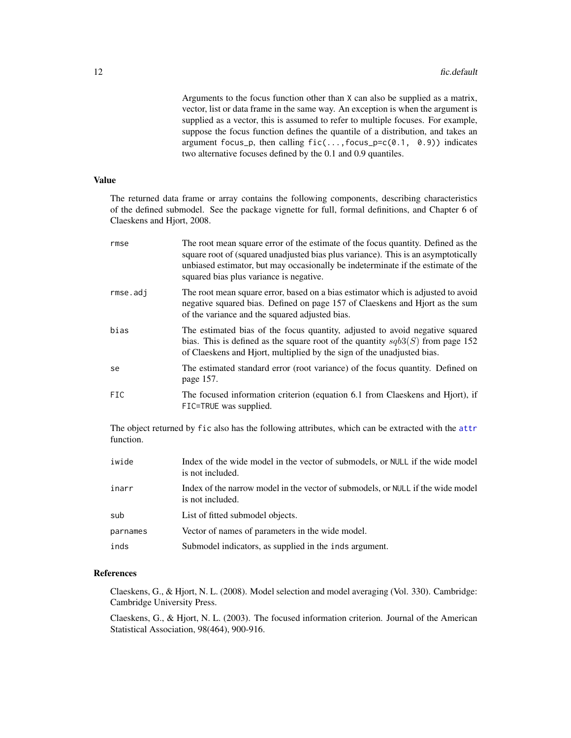<span id="page-11-0"></span>Arguments to the focus function other than X can also be supplied as a matrix, vector, list or data frame in the same way. An exception is when the argument is supplied as a vector, this is assumed to refer to multiple focuses. For example, suppose the focus function defines the quantile of a distribution, and takes an argument focus\_p, then calling  $fic(...,focus_p=c(0.1, 0.9))$  indicates two alternative focuses defined by the 0.1 and 0.9 quantiles.

### Value

The returned data frame or array contains the following components, describing characteristics of the defined submodel. See the package vignette for full, formal definitions, and Chapter 6 of Claeskens and Hjort, 2008.

| rmse       | The root mean square error of the estimate of the focus quantity. Defined as the<br>square root of (squared unadjusted bias plus variance). This is an asymptotically<br>unbiased estimator, but may occasionally be indeterminate if the estimate of the<br>squared bias plus variance is negative. |
|------------|------------------------------------------------------------------------------------------------------------------------------------------------------------------------------------------------------------------------------------------------------------------------------------------------------|
| rmse.adj   | The root mean square error, based on a bias estimator which is adjusted to avoid<br>negative squared bias. Defined on page 157 of Claeskens and Hjort as the sum<br>of the variance and the squared adjusted bias.                                                                                   |
| bias       | The estimated bias of the focus quantity, adjusted to avoid negative squared<br>bias. This is defined as the square root of the quantity $sqb3(S)$ from page 152<br>of Claeskens and Hjort, multiplied by the sign of the unadjusted bias.                                                           |
| se         | The estimated standard error (root variance) of the focus quantity. Defined on<br>page 157.                                                                                                                                                                                                          |
| <b>FIC</b> | The focused information criterion (equation 6.1 from Claeskens and Hjort), if<br>FIC=TRUE was supplied.                                                                                                                                                                                              |

The object returned by fic also has the following attributes, which can be extracted with the [attr](#page-0-0) function.

| iwide    | Index of the wide model in the vector of submodels, or NULL if the wide model<br>is not included.   |
|----------|-----------------------------------------------------------------------------------------------------|
| inarr    | Index of the narrow model in the vector of submodels, or NULL if the wide model<br>is not included. |
| sub      | List of fitted submodel objects.                                                                    |
| parnames | Vector of names of parameters in the wide model.                                                    |
| inds     | Submodel indicators, as supplied in the inds argument.                                              |

### References

Claeskens, G., & Hjort, N. L. (2008). Model selection and model averaging (Vol. 330). Cambridge: Cambridge University Press.

Claeskens, G., & Hjort, N. L. (2003). The focused information criterion. Journal of the American Statistical Association, 98(464), 900-916.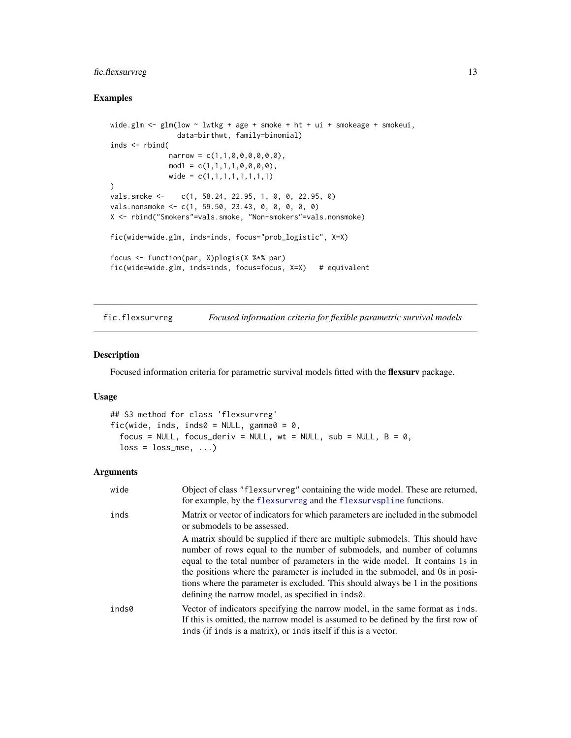### <span id="page-12-0"></span>fic.flexsurvreg 13

### Examples

```
wide.glm \leq glm(low \sim lwtkg + age + smoke + ht + ui + smokeage + smokeui,
                data=birthwt, family=binomial)
inds <- rbind(
              narrow = c(1, 1, 0, 0, 0, 0, 0, 0),
              mod1 = c(1,1,1,1,0,0,0,0),
              wide = c(1,1,1,1,1,1,1,1))
vals.smoke <- c(1, 58.24, 22.95, 1, 0, 0, 22.95, 0)
vals.nonsmoke <- c(1, 59.50, 23.43, 0, 0, 0, 0, 0)
X <- rbind("Smokers"=vals.smoke, "Non-smokers"=vals.nonsmoke)
fic(wide=wide.glm, inds=inds, focus="prob_logistic", X=X)
focus <- function(par, X)plogis(X %*% par)
fic(wide=wide.glm, inds=inds, focus=focus, X=X) # equivalent
```
fic.flexsurvreg *Focused information criteria for flexible parametric survival models*

### Description

Focused information criteria for parametric survival models fitted with the flexsurv package.

#### Usage

```
## S3 method for class 'flexsurvreg'
fic(wide, inds, inds0 = NULL, gamma = 0,
  focus = NULL, focus_deriv = NULL, wt = NULL, sub = NULL, B = 0,
 loss = loss_mse, ...
```

| wide  | Object of class "flexsurvreg" containing the wide model. These are returned,<br>for example, by the flexsurvreg and the flexsurvspline functions.                                                                                                                                                                                                                                                                                                                 |
|-------|-------------------------------------------------------------------------------------------------------------------------------------------------------------------------------------------------------------------------------------------------------------------------------------------------------------------------------------------------------------------------------------------------------------------------------------------------------------------|
| inds  | Matrix or vector of indicators for which parameters are included in the submodel<br>or submodels to be assessed.                                                                                                                                                                                                                                                                                                                                                  |
|       | A matrix should be supplied if there are multiple submodels. This should have<br>number of rows equal to the number of submodels, and number of columns<br>equal to the total number of parameters in the wide model. It contains 1s in<br>the positions where the parameter is included in the submodel, and 0s in posi-<br>tions where the parameter is excluded. This should always be 1 in the positions<br>defining the narrow model, as specified in inds0. |
| inds0 | Vector of indicators specifying the narrow model, in the same format as inds.<br>If this is omitted, the narrow model is assumed to be defined by the first row of<br>inds (if inds is a matrix), or inds itself if this is a vector.                                                                                                                                                                                                                             |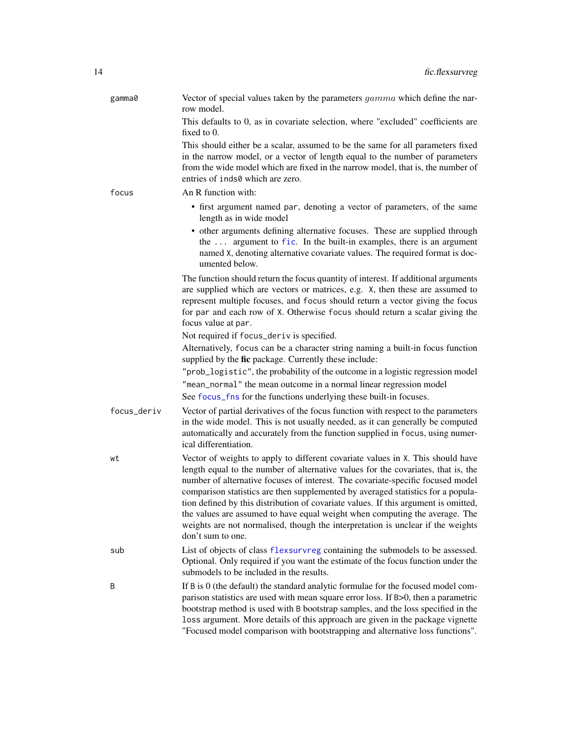<span id="page-13-0"></span>

| gamma0      | Vector of special values taken by the parameters <i>gamma</i> which define the nar-<br>row model.                                                                                                                                                                                                                                                                                                                                                                                                                                                                                                                         |
|-------------|---------------------------------------------------------------------------------------------------------------------------------------------------------------------------------------------------------------------------------------------------------------------------------------------------------------------------------------------------------------------------------------------------------------------------------------------------------------------------------------------------------------------------------------------------------------------------------------------------------------------------|
|             | This defaults to 0, as in covariate selection, where "excluded" coefficients are<br>fixed to 0.                                                                                                                                                                                                                                                                                                                                                                                                                                                                                                                           |
|             | This should either be a scalar, assumed to be the same for all parameters fixed<br>in the narrow model, or a vector of length equal to the number of parameters<br>from the wide model which are fixed in the narrow model, that is, the number of<br>entries of inds0 which are zero.                                                                                                                                                                                                                                                                                                                                    |
| focus       | An R function with:                                                                                                                                                                                                                                                                                                                                                                                                                                                                                                                                                                                                       |
|             | • first argument named par, denoting a vector of parameters, of the same<br>length as in wide model<br>• other arguments defining alternative focuses. These are supplied through<br>the  argument to fic. In the built-in examples, there is an argument<br>named X, denoting alternative covariate values. The required format is doc-<br>umented below.                                                                                                                                                                                                                                                                |
|             | The function should return the focus quantity of interest. If additional arguments<br>are supplied which are vectors or matrices, e.g. X, then these are assumed to<br>represent multiple focuses, and focus should return a vector giving the focus<br>for par and each row of X. Otherwise focus should return a scalar giving the<br>focus value at par.                                                                                                                                                                                                                                                               |
|             | Not required if focus_deriv is specified.                                                                                                                                                                                                                                                                                                                                                                                                                                                                                                                                                                                 |
|             | Alternatively, focus can be a character string naming a built-in focus function<br>supplied by the fic package. Currently these include:                                                                                                                                                                                                                                                                                                                                                                                                                                                                                  |
|             | "prob_logistic", the probability of the outcome in a logistic regression model<br>"mean_normal" the mean outcome in a normal linear regression model                                                                                                                                                                                                                                                                                                                                                                                                                                                                      |
|             | See focus_fns for the functions underlying these built-in focuses.                                                                                                                                                                                                                                                                                                                                                                                                                                                                                                                                                        |
| focus_deriv | Vector of partial derivatives of the focus function with respect to the parameters<br>in the wide model. This is not usually needed, as it can generally be computed<br>automatically and accurately from the function supplied in focus, using numer-<br>ical differentiation.                                                                                                                                                                                                                                                                                                                                           |
| wt          | Vector of weights to apply to different covariate values in X. This should have<br>length equal to the number of alternative values for the covariates, that is, the<br>number of alternative focuses of interest. The covariate-specific focused model<br>comparison statistics are then supplemented by averaged statistics for a popula-<br>tion defined by this distribution of covariate values. If this argument is omitted,<br>the values are assumed to have equal weight when computing the average. The<br>weights are not normalised, though the interpretation is unclear if the weights<br>don't sum to one. |
| sub         | List of objects of class flexsurvreg containing the submodels to be assessed.<br>Optional. Only required if you want the estimate of the focus function under the<br>submodels to be included in the results.                                                                                                                                                                                                                                                                                                                                                                                                             |
| B           | If B is 0 (the default) the standard analytic formulae for the focused model com-<br>parison statistics are used with mean square error loss. If B>0, then a parametric<br>bootstrap method is used with B bootstrap samples, and the loss specified in the<br>loss argument. More details of this approach are given in the package vignette<br>"Focused model comparison with bootstrapping and alternative loss functions".                                                                                                                                                                                            |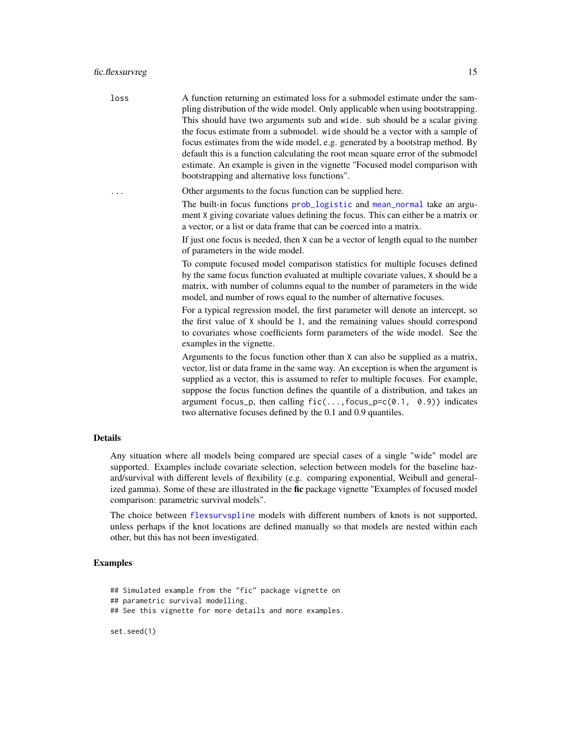<span id="page-14-0"></span>loss A function returning an estimated loss for a submodel estimate under the sampling distribution of the wide model. Only applicable when using bootstrapping. This should have two arguments sub and wide. sub should be a scalar giving the focus estimate from a submodel. wide should be a vector with a sample of focus estimates from the wide model, e.g. generated by a bootstrap method. By default this is a function calculating the root mean square error of the submodel estimate. An example is given in the vignette "Focused model comparison with bootstrapping and alternative loss functions".

... Other arguments to the focus function can be supplied here.

The built-in focus functions [prob\\_logistic](#page-32-1) and [mean\\_normal](#page-32-1) take an argument X giving covariate values defining the focus. This can either be a matrix or a vector, or a list or data frame that can be coerced into a matrix.

If just one focus is needed, then X can be a vector of length equal to the number of parameters in the wide model.

To compute focused model comparison statistics for multiple focuses defined by the same focus function evaluated at multiple covariate values, X should be a matrix, with number of columns equal to the number of parameters in the wide model, and number of rows equal to the number of alternative focuses.

For a typical regression model, the first parameter will denote an intercept, so the first value of X should be 1, and the remaining values should correspond to covariates whose coefficients form parameters of the wide model. See the examples in the vignette.

Arguments to the focus function other than X can also be supplied as a matrix, vector, list or data frame in the same way. An exception is when the argument is supplied as a vector, this is assumed to refer to multiple focuses. For example, suppose the focus function defines the quantile of a distribution, and takes an argument focus\_p, then calling  $fic(...,focus_p=c(0.1, 0.9))$  indicates two alternative focuses defined by the 0.1 and 0.9 quantiles.

#### Details

Any situation where all models being compared are special cases of a single "wide" model are supported. Examples include covariate selection, selection between models for the baseline hazard/survival with different levels of flexibility (e.g. comparing exponential, Weibull and generalized gamma). Some of these are illustrated in the fic package vignette "Examples of focused model comparison: parametric survival models".

The choice between [flexsurvspline](#page-0-0) models with different numbers of knots is not supported, unless perhaps if the knot locations are defined manually so that models are nested within each other, but this has not been investigated.

### Examples

## Simulated example from the "fic" package vignette on ## parametric survival modelling. ## See this vignette for more details and more examples. set.seed(1)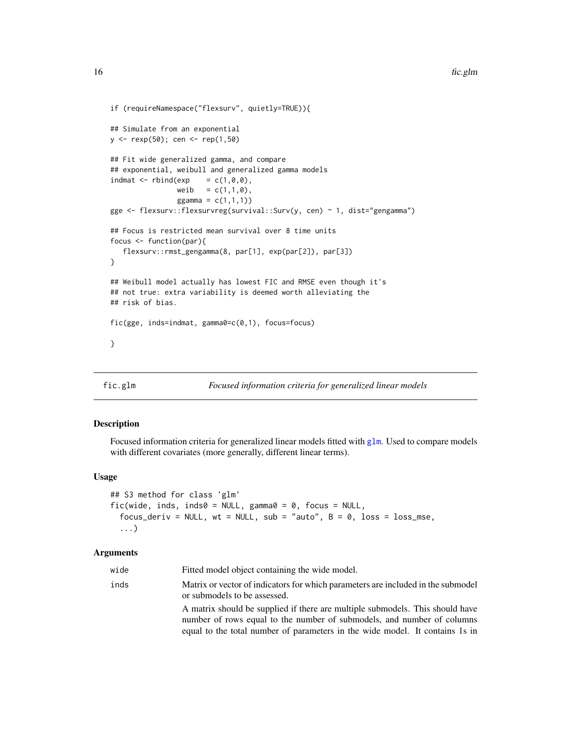```
if (requireNamespace("flexsurv", quietly=TRUE)){
## Simulate from an exponential
y <- rexp(50); cen <- rep(1,50)
## Fit wide generalized gamma, and compare
## exponential, weibull and generalized gamma models
indmat \leq rbind(exp = c(1,0,0),
               weib = c(1,1,0),
                ggamma = c(1,1,1))
gge <- flexsurv::flexsurvreg(survival::Surv(y, cen) ~ 1, dist="gengamma")
## Focus is restricted mean survival over 8 time units
focus <- function(par){
   flexsurv::rmst_gengamma(8, par[1], exp(par[2]), par[3])
}
## Weibull model actually has lowest FIC and RMSE even though it's
## not true: extra variability is deemed worth alleviating the
## risk of bias.
fic(gge, inds=indmat, gamma0=c(0,1), focus=focus)
}
```
### <span id="page-15-1"></span>fic.glm *Focused information criteria for generalized linear models*

### Description

Focused information criteria for generalized linear models fitted with  $g1m$ . Used to compare models with different covariates (more generally, different linear terms).

### Usage

```
## S3 method for class 'glm'
fic(wide, inds, inds0 = NULL, gamma0 = 0, focus = NULL,
  focus_deriv = NULL, wt = NULL, sub = "auto", B = 0, loss = loss_mse,
  ...)
```

| wide | Fitted model object containing the wide model.                                                                                                                                                                                          |
|------|-----------------------------------------------------------------------------------------------------------------------------------------------------------------------------------------------------------------------------------------|
| inds | Matrix or vector of indicators for which parameters are included in the submodel<br>or submodels to be assessed.                                                                                                                        |
|      | A matrix should be supplied if there are multiple submodels. This should have<br>number of rows equal to the number of submodels, and number of columns<br>equal to the total number of parameters in the wide model. It contains 1s in |

<span id="page-15-0"></span>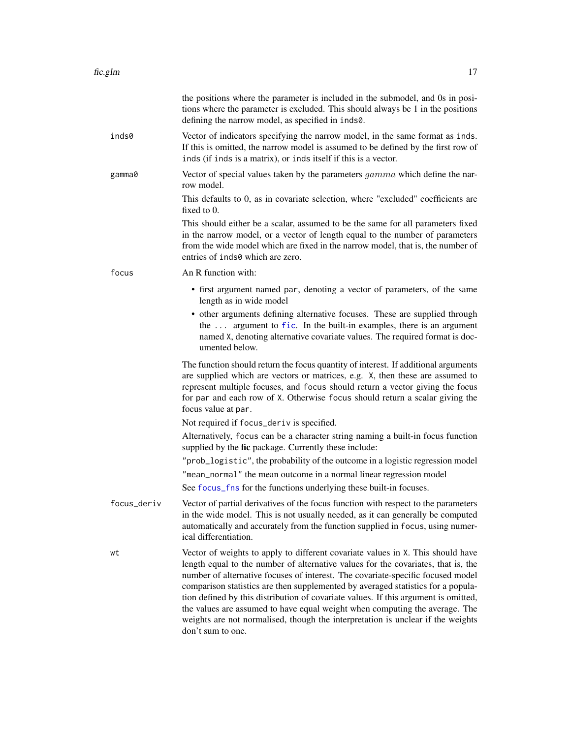<span id="page-16-0"></span>

|             | the positions where the parameter is included in the submodel, and 0s in posi-<br>tions where the parameter is excluded. This should always be 1 in the positions<br>defining the narrow model, as specified in inds0.                                                                                                                                                                                                                                                                                                                                                                                                    |
|-------------|---------------------------------------------------------------------------------------------------------------------------------------------------------------------------------------------------------------------------------------------------------------------------------------------------------------------------------------------------------------------------------------------------------------------------------------------------------------------------------------------------------------------------------------------------------------------------------------------------------------------------|
| inds0       | Vector of indicators specifying the narrow model, in the same format as inds.<br>If this is omitted, the narrow model is assumed to be defined by the first row of<br>inds (if inds is a matrix), or inds itself if this is a vector.                                                                                                                                                                                                                                                                                                                                                                                     |
| gamma0      | Vector of special values taken by the parameters <i>gamma</i> which define the nar-<br>row model.                                                                                                                                                                                                                                                                                                                                                                                                                                                                                                                         |
|             | This defaults to 0, as in covariate selection, where "excluded" coefficients are<br>fixed to $0$ .                                                                                                                                                                                                                                                                                                                                                                                                                                                                                                                        |
|             | This should either be a scalar, assumed to be the same for all parameters fixed<br>in the narrow model, or a vector of length equal to the number of parameters<br>from the wide model which are fixed in the narrow model, that is, the number of<br>entries of inds0 which are zero.                                                                                                                                                                                                                                                                                                                                    |
| focus       | An R function with:                                                                                                                                                                                                                                                                                                                                                                                                                                                                                                                                                                                                       |
|             | • first argument named par, denoting a vector of parameters, of the same<br>length as in wide model                                                                                                                                                                                                                                                                                                                                                                                                                                                                                                                       |
|             | • other arguments defining alternative focuses. These are supplied through<br>the  argument to fic. In the built-in examples, there is an argument<br>named X, denoting alternative covariate values. The required format is doc-<br>umented below.                                                                                                                                                                                                                                                                                                                                                                       |
|             | The function should return the focus quantity of interest. If additional arguments<br>are supplied which are vectors or matrices, e.g. X, then these are assumed to<br>represent multiple focuses, and focus should return a vector giving the focus<br>for par and each row of X. Otherwise focus should return a scalar giving the<br>focus value at par.                                                                                                                                                                                                                                                               |
|             | Not required if focus_deriv is specified.                                                                                                                                                                                                                                                                                                                                                                                                                                                                                                                                                                                 |
|             | Alternatively, focus can be a character string naming a built-in focus function<br>supplied by the fic package. Currently these include:                                                                                                                                                                                                                                                                                                                                                                                                                                                                                  |
|             | "prob_logistic", the probability of the outcome in a logistic regression model                                                                                                                                                                                                                                                                                                                                                                                                                                                                                                                                            |
|             | "mean_normal" the mean outcome in a normal linear regression model                                                                                                                                                                                                                                                                                                                                                                                                                                                                                                                                                        |
|             | See focus_fns for the functions underlying these built-in focuses.                                                                                                                                                                                                                                                                                                                                                                                                                                                                                                                                                        |
| focus_deriv | Vector of partial derivatives of the focus function with respect to the parameters<br>in the wide model. This is not usually needed, as it can generally be computed<br>automatically and accurately from the function supplied in focus, using numer-<br>ical differentiation.                                                                                                                                                                                                                                                                                                                                           |
| wt          | Vector of weights to apply to different covariate values in X. This should have<br>length equal to the number of alternative values for the covariates, that is, the<br>number of alternative focuses of interest. The covariate-specific focused model<br>comparison statistics are then supplemented by averaged statistics for a popula-<br>tion defined by this distribution of covariate values. If this argument is omitted,<br>the values are assumed to have equal weight when computing the average. The<br>weights are not normalised, though the interpretation is unclear if the weights<br>don't sum to one. |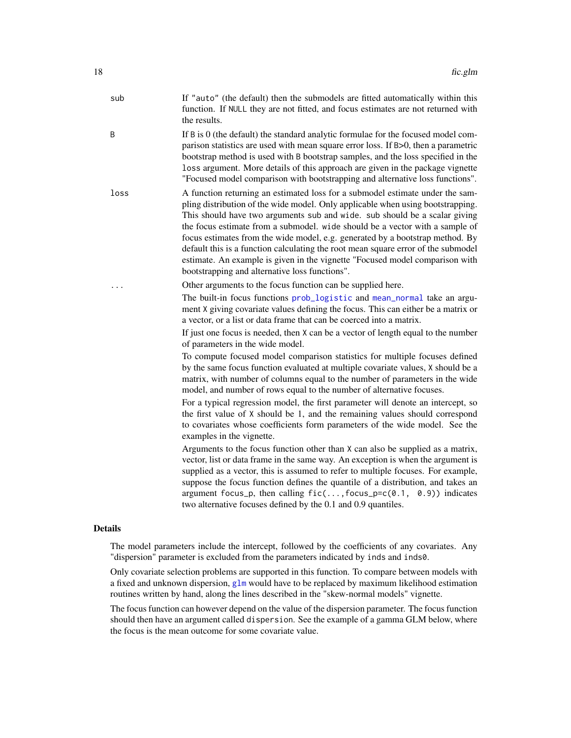<span id="page-17-0"></span>

| If B is 0 (the default) the standard analytic formulae for the focused model com-<br>parison statistics are used with mean square error loss. If B>0, then a parametric<br>bootstrap method is used with B bootstrap samples, and the loss specified in the<br>loss argument. More details of this approach are given in the package vignette<br>"Focused model comparison with bootstrapping and alternative loss functions".<br>A function returning an estimated loss for a submodel estimate under the sam-<br>pling distribution of the wide model. Only applicable when using bootstrapping.<br>This should have two arguments sub and wide. sub should be a scalar giving<br>the focus estimate from a submodel. wide should be a vector with a sample of<br>focus estimates from the wide model, e.g. generated by a bootstrap method. By<br>default this is a function calculating the root mean square error of the submodel<br>estimate. An example is given in the vignette "Focused model comparison with<br>bootstrapping and alternative loss functions".                                                                                                                                                                                                                                                                                                                                                                                                                                                         |
|----------------------------------------------------------------------------------------------------------------------------------------------------------------------------------------------------------------------------------------------------------------------------------------------------------------------------------------------------------------------------------------------------------------------------------------------------------------------------------------------------------------------------------------------------------------------------------------------------------------------------------------------------------------------------------------------------------------------------------------------------------------------------------------------------------------------------------------------------------------------------------------------------------------------------------------------------------------------------------------------------------------------------------------------------------------------------------------------------------------------------------------------------------------------------------------------------------------------------------------------------------------------------------------------------------------------------------------------------------------------------------------------------------------------------------------------------------------------------------------------------------------------------------|
|                                                                                                                                                                                                                                                                                                                                                                                                                                                                                                                                                                                                                                                                                                                                                                                                                                                                                                                                                                                                                                                                                                                                                                                                                                                                                                                                                                                                                                                                                                                                  |
|                                                                                                                                                                                                                                                                                                                                                                                                                                                                                                                                                                                                                                                                                                                                                                                                                                                                                                                                                                                                                                                                                                                                                                                                                                                                                                                                                                                                                                                                                                                                  |
| Other arguments to the focus function can be supplied here.<br>The built-in focus functions prob_logistic and mean_normal take an argu-<br>ment X giving covariate values defining the focus. This can either be a matrix or<br>a vector, or a list or data frame that can be coerced into a matrix.<br>If just one focus is needed, then X can be a vector of length equal to the number<br>of parameters in the wide model.<br>To compute focused model comparison statistics for multiple focuses defined<br>by the same focus function evaluated at multiple covariate values, X should be a<br>matrix, with number of columns equal to the number of parameters in the wide<br>model, and number of rows equal to the number of alternative focuses.<br>For a typical regression model, the first parameter will denote an intercept, so<br>the first value of X should be 1, and the remaining values should correspond<br>to covariates whose coefficients form parameters of the wide model. See the<br>examples in the vignette.<br>Arguments to the focus function other than X can also be supplied as a matrix,<br>vector, list or data frame in the same way. An exception is when the argument is<br>supplied as a vector, this is assumed to refer to multiple focuses. For example,<br>suppose the focus function defines the quantile of a distribution, and takes an<br>argument focus_p, then calling $fic(, focus_p=c(0.1, 0.9))$ indicates<br>two alternative focuses defined by the 0.1 and 0.9 quantiles. |
|                                                                                                                                                                                                                                                                                                                                                                                                                                                                                                                                                                                                                                                                                                                                                                                                                                                                                                                                                                                                                                                                                                                                                                                                                                                                                                                                                                                                                                                                                                                                  |

### Details

The model parameters include the intercept, followed by the coefficients of any covariates. Any "dispersion" parameter is excluded from the parameters indicated by inds and inds0.

Only covariate selection problems are supported in this function. To compare between models with a fixed and unknown dispersion, [glm](#page-0-0) would have to be replaced by maximum likelihood estimation routines written by hand, along the lines described in the "skew-normal models" vignette.

The focus function can however depend on the value of the dispersion parameter. The focus function should then have an argument called dispersion. See the example of a gamma GLM below, where the focus is the mean outcome for some covariate value.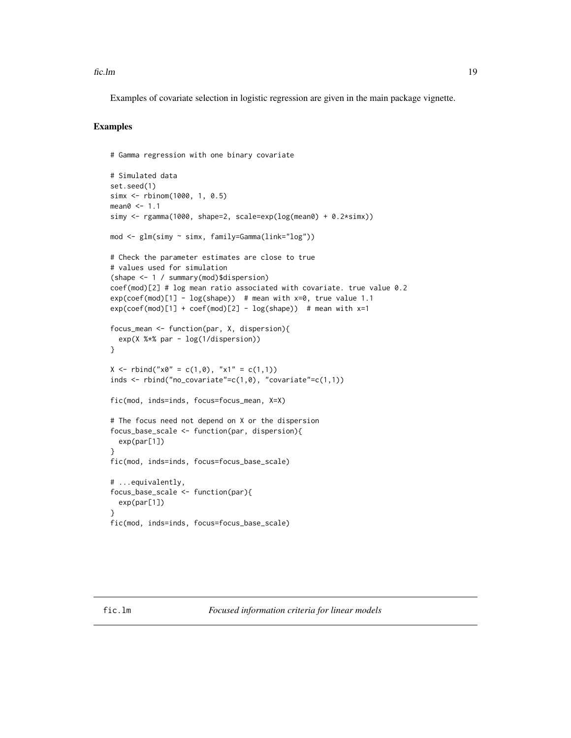<span id="page-18-0"></span> $\text{fic}.\text{lm}$  19

Examples of covariate selection in logistic regression are given in the main package vignette.

### Examples

```
# Gamma regression with one binary covariate
# Simulated data
set.seed(1)
simx <- rbinom(1000, 1, 0.5)
mean0 < -1.1simy <- rgamma(1000, shape=2, scale=exp(log(mean0) + 0.2*simx))
mod <- glm(simy ~ simx, family=Gamma(link="log"))
# Check the parameter estimates are close to true
# values used for simulation
(shape <- 1 / summary(mod)$dispersion)
coef(mod)[2] # log mean ratio associated with covariate. true value 0.2
exp(coeff(mod)[1] - log(shape)) # mean with x=0, true value 1.1
exp(coeff(mod)[1] + coef(mod)[2] - log(shape)) # mean with x=1
focus_mean <- function(par, X, dispersion){
  exp(X %*% par - log(1/dispersion))
}
X \le - rbind("x0" = c(1,0), "x1" = c(1,1))
inds \le rbind("no_covariate"=c(1,0), "covariate"=c(1,1))
fic(mod, inds=inds, focus=focus_mean, X=X)
# The focus need not depend on X or the dispersion
focus_base_scale <- function(par, dispersion){
  exp(par[1])
}
fic(mod, inds=inds, focus=focus_base_scale)
# ...equivalently,
focus_base_scale <- function(par){
  exp(par[1])
}
fic(mod, inds=inds, focus=focus_base_scale)
```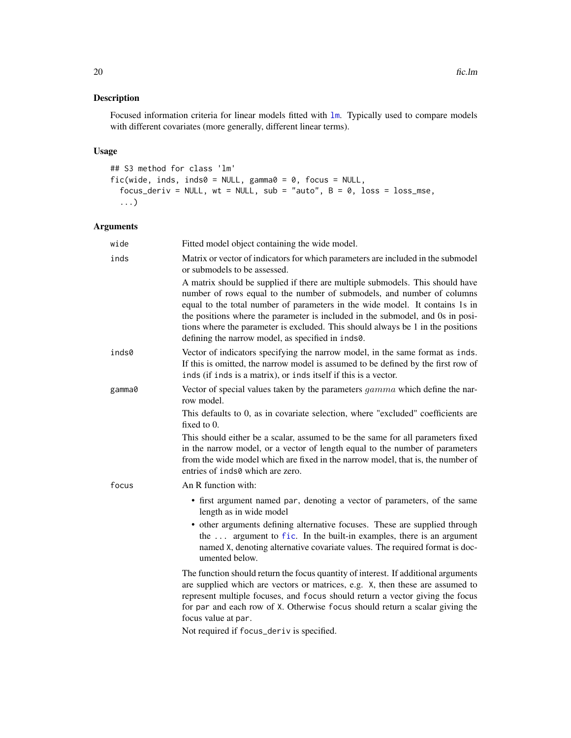### <span id="page-19-0"></span>Description

Focused information criteria for linear models fitted with [lm](#page-0-0). Typically used to compare models with different covariates (more generally, different linear terms).

### Usage

```
## S3 method for class 'lm'
fic(wide, inds, inds0 = NULL, gamma \theta = 0, focus = NULL,
  focus_deriv = NULL, wt = NULL, sub = "auto", B = 0, loss = loss_mse,
  ...)
```
### Arguments

| wide   | Fitted model object containing the wide model.                                                                                                                                                                                                                                                                                                                                                                                                                    |
|--------|-------------------------------------------------------------------------------------------------------------------------------------------------------------------------------------------------------------------------------------------------------------------------------------------------------------------------------------------------------------------------------------------------------------------------------------------------------------------|
| inds   | Matrix or vector of indicators for which parameters are included in the submodel<br>or submodels to be assessed.                                                                                                                                                                                                                                                                                                                                                  |
|        | A matrix should be supplied if there are multiple submodels. This should have<br>number of rows equal to the number of submodels, and number of columns<br>equal to the total number of parameters in the wide model. It contains 1s in<br>the positions where the parameter is included in the submodel, and 0s in posi-<br>tions where the parameter is excluded. This should always be 1 in the positions<br>defining the narrow model, as specified in inds0. |
| inds0  | Vector of indicators specifying the narrow model, in the same format as inds.<br>If this is omitted, the narrow model is assumed to be defined by the first row of<br>inds (if inds is a matrix), or inds itself if this is a vector.                                                                                                                                                                                                                             |
| gamma0 | Vector of special values taken by the parameters $gamma$ which define the nar-<br>row model.                                                                                                                                                                                                                                                                                                                                                                      |
|        | This defaults to 0, as in covariate selection, where "excluded" coefficients are<br>fixed to 0.                                                                                                                                                                                                                                                                                                                                                                   |
|        | This should either be a scalar, assumed to be the same for all parameters fixed<br>in the narrow model, or a vector of length equal to the number of parameters<br>from the wide model which are fixed in the narrow model, that is, the number of<br>entries of inds0 which are zero.                                                                                                                                                                            |
| focus  | An R function with:                                                                                                                                                                                                                                                                                                                                                                                                                                               |
|        | • first argument named par, denoting a vector of parameters, of the same<br>length as in wide model                                                                                                                                                                                                                                                                                                                                                               |
|        | • other arguments defining alternative focuses. These are supplied through<br>the  argument to fic. In the built-in examples, there is an argument<br>named X, denoting alternative covariate values. The required format is doc-<br>umented below.                                                                                                                                                                                                               |
|        | The function should return the focus quantity of interest. If additional arguments<br>are supplied which are vectors or matrices, e.g. X, then these are assumed to<br>represent multiple focuses, and focus should return a vector giving the focus<br>for par and each row of X. Otherwise focus should return a scalar giving the<br>focus value at par.<br>$M$ ot required if formal deniu is specified                                                       |
|        |                                                                                                                                                                                                                                                                                                                                                                                                                                                                   |

Not required if focus\_deriv is specified.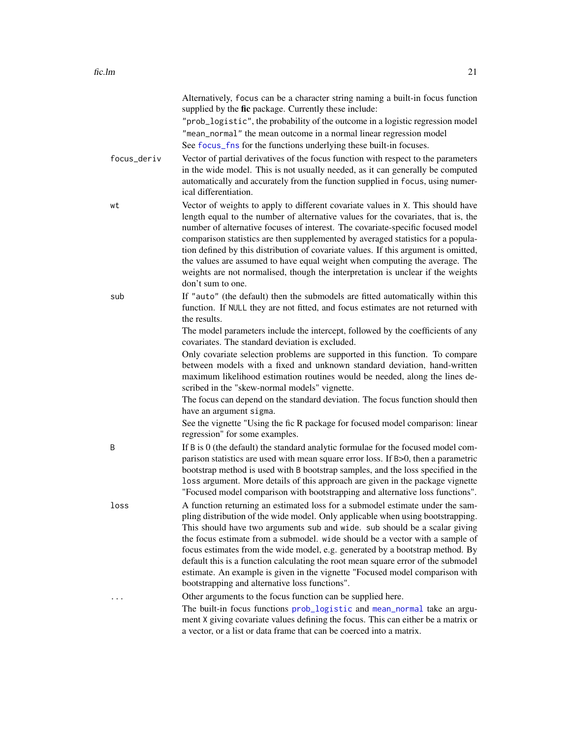<span id="page-20-0"></span>

|             | Alternatively, focus can be a character string naming a built-in focus function<br>supplied by the fic package. Currently these include:<br>"prob_logistic", the probability of the outcome in a logistic regression model<br>"mean_normal" the mean outcome in a normal linear regression model<br>See focus_fns for the functions underlying these built-in focuses.                                                                                                                                                                                                                                                                 |
|-------------|----------------------------------------------------------------------------------------------------------------------------------------------------------------------------------------------------------------------------------------------------------------------------------------------------------------------------------------------------------------------------------------------------------------------------------------------------------------------------------------------------------------------------------------------------------------------------------------------------------------------------------------|
| focus_deriv | Vector of partial derivatives of the focus function with respect to the parameters<br>in the wide model. This is not usually needed, as it can generally be computed<br>automatically and accurately from the function supplied in focus, using numer-<br>ical differentiation.                                                                                                                                                                                                                                                                                                                                                        |
| wt          | Vector of weights to apply to different covariate values in X. This should have<br>length equal to the number of alternative values for the covariates, that is, the<br>number of alternative focuses of interest. The covariate-specific focused model<br>comparison statistics are then supplemented by averaged statistics for a popula-<br>tion defined by this distribution of covariate values. If this argument is omitted,<br>the values are assumed to have equal weight when computing the average. The<br>weights are not normalised, though the interpretation is unclear if the weights<br>don't sum to one.              |
| sub         | If "auto" (the default) then the submodels are fitted automatically within this<br>function. If NULL they are not fitted, and focus estimates are not returned with<br>the results.                                                                                                                                                                                                                                                                                                                                                                                                                                                    |
|             | The model parameters include the intercept, followed by the coefficients of any<br>covariates. The standard deviation is excluded.                                                                                                                                                                                                                                                                                                                                                                                                                                                                                                     |
|             | Only covariate selection problems are supported in this function. To compare<br>between models with a fixed and unknown standard deviation, hand-written<br>maximum likelihood estimation routines would be needed, along the lines de-<br>scribed in the "skew-normal models" vignette.                                                                                                                                                                                                                                                                                                                                               |
|             | The focus can depend on the standard deviation. The focus function should then<br>have an argument sigma.<br>See the vignette "Using the fic R package for focused model comparison: linear                                                                                                                                                                                                                                                                                                                                                                                                                                            |
|             | regression" for some examples.                                                                                                                                                                                                                                                                                                                                                                                                                                                                                                                                                                                                         |
| B           | If B is 0 (the default) the standard analytic formulae for the focused model com-<br>parison statistics are used with mean square error loss. If B>0, then a parametric<br>bootstrap method is used with B bootstrap samples, and the loss specified in the<br>loss argument. More details of this approach are given in the package vignette<br>"Focused model comparison with bootstrapping and alternative loss functions".                                                                                                                                                                                                         |
| loss        | A function returning an estimated loss for a submodel estimate under the sam-<br>pling distribution of the wide model. Only applicable when using bootstrapping.<br>This should have two arguments sub and wide. sub should be a scalar giving<br>the focus estimate from a submodel. wide should be a vector with a sample of<br>focus estimates from the wide model, e.g. generated by a bootstrap method. By<br>default this is a function calculating the root mean square error of the submodel<br>estimate. An example is given in the vignette "Focused model comparison with<br>bootstrapping and alternative loss functions". |
|             | Other arguments to the focus function can be supplied here.<br>The built-in focus functions prob_logistic and mean_normal take an argu-<br>ment X giving covariate values defining the focus. This can either be a matrix or<br>a vector, or a list or data frame that can be coerced into a matrix.                                                                                                                                                                                                                                                                                                                                   |
|             |                                                                                                                                                                                                                                                                                                                                                                                                                                                                                                                                                                                                                                        |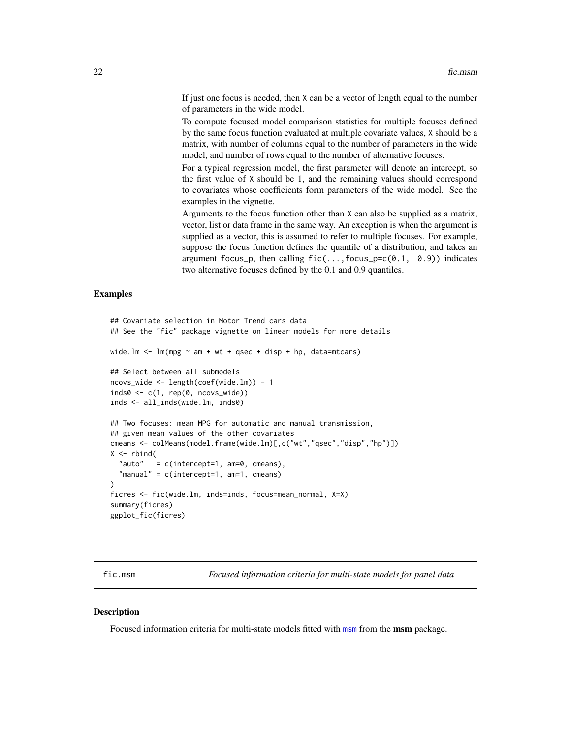<span id="page-21-0"></span>If just one focus is needed, then X can be a vector of length equal to the number of parameters in the wide model.

To compute focused model comparison statistics for multiple focuses defined by the same focus function evaluated at multiple covariate values, X should be a matrix, with number of columns equal to the number of parameters in the wide model, and number of rows equal to the number of alternative focuses.

For a typical regression model, the first parameter will denote an intercept, so the first value of X should be 1, and the remaining values should correspond to covariates whose coefficients form parameters of the wide model. See the examples in the vignette.

Arguments to the focus function other than X can also be supplied as a matrix, vector, list or data frame in the same way. An exception is when the argument is supplied as a vector, this is assumed to refer to multiple focuses. For example, suppose the focus function defines the quantile of a distribution, and takes an argument focus\_p, then calling  $fic(...,focus_p=c(0.1, 0.9))$  indicates two alternative focuses defined by the 0.1 and 0.9 quantiles.

### Examples

```
## Covariate selection in Motor Trend cars data
## See the "fic" package vignette on linear models for more details
wide.lm \leq lm(mpg \sim am + wt + qsec + disp + hp, data=mtcars)
## Select between all submodels
ncovs_wide <- length(coef(wide.lm)) - 1
inds0 \leftarrow c(1, rep(0, ncovs_wide))inds <- all_inds(wide.lm, inds0)
## Two focuses: mean MPG for automatic and manual transmission,
## given mean values of the other covariates
cmeans <- colMeans(model.frame(wide.lm)[,c("wt","qsec","disp","hp")])
X \leftarrow \text{rbind}("auto" = c(intexcept=1, am=0, cmeans),
  "manual" = c(intercept=1, am=1, cmeans)
\lambdaficres <- fic(wide.lm, inds=inds, focus=mean_normal, X=X)
summary(ficres)
ggplot_fic(ficres)
```
fic.msm *Focused information criteria for multi-state models for panel data*

#### Description

Focused information criteria for multi-state models fitted with [msm](#page-0-0) from the **msm** package.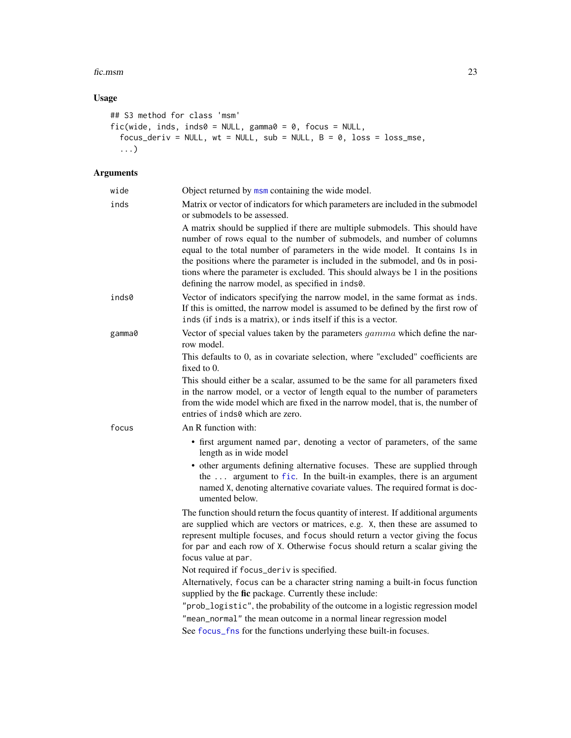#### <span id="page-22-0"></span>fic.msm 23

### Usage

```
## S3 method for class 'msm'
fic(wide, inds, inds0 = NULL, gamma0 = 0, focus = NULL,
  focus_deriv = NULL, wt = NULL, sub = NULL, B = 0, loss = loss_mse,
  ...)
```

| wide   | Object returned by msm containing the wide model.                                                                                                                                                                                                                                                                                                                                                                                                                 |
|--------|-------------------------------------------------------------------------------------------------------------------------------------------------------------------------------------------------------------------------------------------------------------------------------------------------------------------------------------------------------------------------------------------------------------------------------------------------------------------|
| inds   | Matrix or vector of indicators for which parameters are included in the submodel<br>or submodels to be assessed.                                                                                                                                                                                                                                                                                                                                                  |
|        | A matrix should be supplied if there are multiple submodels. This should have<br>number of rows equal to the number of submodels, and number of columns<br>equal to the total number of parameters in the wide model. It contains 1s in<br>the positions where the parameter is included in the submodel, and 0s in posi-<br>tions where the parameter is excluded. This should always be 1 in the positions<br>defining the narrow model, as specified in inds0. |
| inds0  | Vector of indicators specifying the narrow model, in the same format as inds.<br>If this is omitted, the narrow model is assumed to be defined by the first row of<br>inds (if inds is a matrix), or inds itself if this is a vector.                                                                                                                                                                                                                             |
| gamma0 | Vector of special values taken by the parameters <i>gamma</i> which define the nar-<br>row model.                                                                                                                                                                                                                                                                                                                                                                 |
|        | This defaults to 0, as in covariate selection, where "excluded" coefficients are<br>fixed to 0.                                                                                                                                                                                                                                                                                                                                                                   |
|        | This should either be a scalar, assumed to be the same for all parameters fixed<br>in the narrow model, or a vector of length equal to the number of parameters<br>from the wide model which are fixed in the narrow model, that is, the number of<br>entries of inds0 which are zero.                                                                                                                                                                            |
| focus  | An R function with:                                                                                                                                                                                                                                                                                                                                                                                                                                               |
|        | • first argument named par, denoting a vector of parameters, of the same<br>length as in wide model                                                                                                                                                                                                                                                                                                                                                               |
|        | • other arguments defining alternative focuses. These are supplied through<br>the  argument to fic. In the built-in examples, there is an argument<br>named X, denoting alternative covariate values. The required format is doc-<br>umented below.                                                                                                                                                                                                               |
|        | The function should return the focus quantity of interest. If additional arguments<br>are supplied which are vectors or matrices, e.g. X, then these are assumed to<br>represent multiple focuses, and focus should return a vector giving the focus<br>for par and each row of X. Otherwise focus should return a scalar giving the<br>focus value at par.                                                                                                       |
|        | Not required if focus_deriv is specified.                                                                                                                                                                                                                                                                                                                                                                                                                         |
|        | Alternatively, focus can be a character string naming a built-in focus function<br>supplied by the fic package. Currently these include:                                                                                                                                                                                                                                                                                                                          |
|        | "prob_logistic", the probability of the outcome in a logistic regression model                                                                                                                                                                                                                                                                                                                                                                                    |
|        | "mean_normal" the mean outcome in a normal linear regression model                                                                                                                                                                                                                                                                                                                                                                                                |
|        | See focus_fns for the functions underlying these built-in focuses.                                                                                                                                                                                                                                                                                                                                                                                                |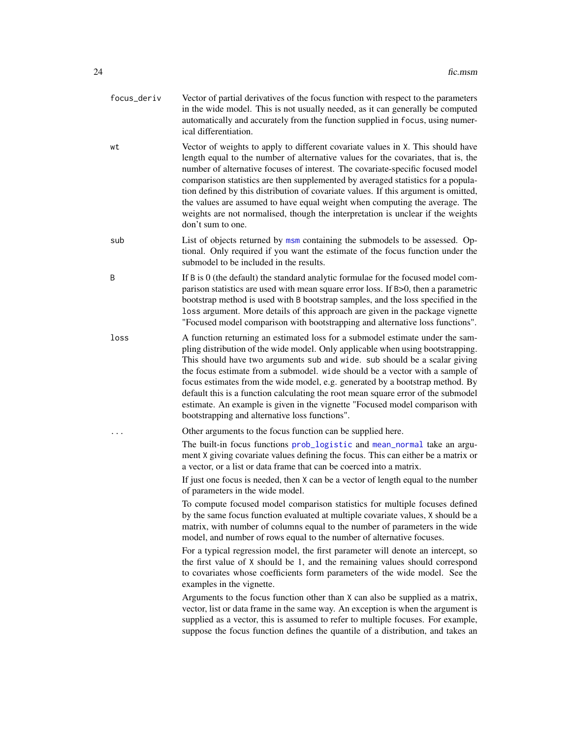- <span id="page-23-0"></span>focus\_deriv Vector of partial derivatives of the focus function with respect to the parameters in the wide model. This is not usually needed, as it can generally be computed automatically and accurately from the function supplied in focus, using numerical differentiation.
- wt Vector of weights to apply to different covariate values in X. This should have length equal to the number of alternative values for the covariates, that is, the number of alternative focuses of interest. The covariate-specific focused model comparison statistics are then supplemented by averaged statistics for a population defined by this distribution of covariate values. If this argument is omitted, the values are assumed to have equal weight when computing the average. The weights are not normalised, though the interpretation is unclear if the weights don't sum to one.
- sub List of objects returned by [msm](#page-0-0) containing the submodels to be assessed. Optional. Only required if you want the estimate of the focus function under the submodel to be included in the results.
- B If B is 0 (the default) the standard analytic formulae for the focused model comparison statistics are used with mean square error loss. If B>0, then a parametric bootstrap method is used with B bootstrap samples, and the loss specified in the loss argument. More details of this approach are given in the package vignette "Focused model comparison with bootstrapping and alternative loss functions".
- loss A function returning an estimated loss for a submodel estimate under the sampling distribution of the wide model. Only applicable when using bootstrapping. This should have two arguments sub and wide. sub should be a scalar giving the focus estimate from a submodel. wide should be a vector with a sample of focus estimates from the wide model, e.g. generated by a bootstrap method. By default this is a function calculating the root mean square error of the submodel estimate. An example is given in the vignette "Focused model comparison with bootstrapping and alternative loss functions".

Other arguments to the focus function can be supplied here.

The built-in focus functions [prob\\_logistic](#page-32-1) and [mean\\_normal](#page-32-1) take an argument X giving covariate values defining the focus. This can either be a matrix or a vector, or a list or data frame that can be coerced into a matrix.

If just one focus is needed, then X can be a vector of length equal to the number of parameters in the wide model.

To compute focused model comparison statistics for multiple focuses defined by the same focus function evaluated at multiple covariate values, X should be a matrix, with number of columns equal to the number of parameters in the wide model, and number of rows equal to the number of alternative focuses.

For a typical regression model, the first parameter will denote an intercept, so the first value of X should be 1, and the remaining values should correspond to covariates whose coefficients form parameters of the wide model. See the examples in the vignette.

Arguments to the focus function other than X can also be supplied as a matrix, vector, list or data frame in the same way. An exception is when the argument is supplied as a vector, this is assumed to refer to multiple focuses. For example, suppose the focus function defines the quantile of a distribution, and takes an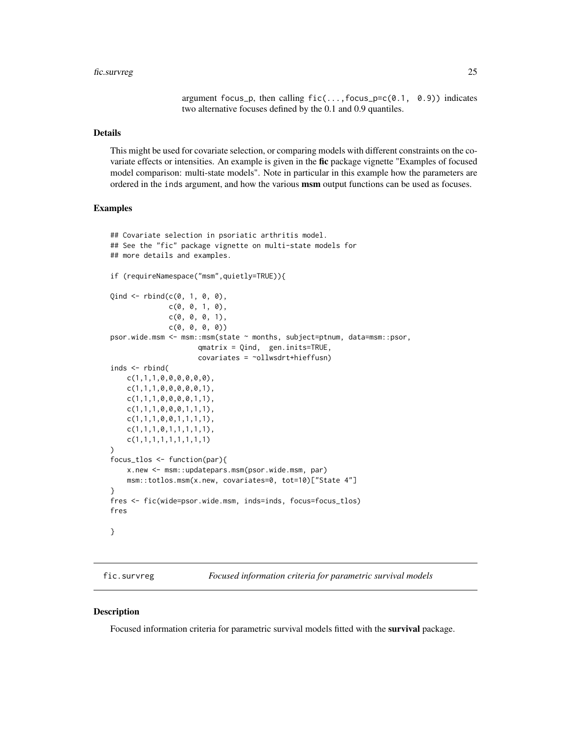#### <span id="page-24-0"></span>fic.survreg 25

argument focus\_p, then calling  $fic(...,focus_p=c(0.1, 0.9))$  indicates two alternative focuses defined by the 0.1 and 0.9 quantiles.

### Details

This might be used for covariate selection, or comparing models with different constraints on the covariate effects or intensities. An example is given in the fic package vignette "Examples of focused model comparison: multi-state models". Note in particular in this example how the parameters are ordered in the inds argument, and how the various **msm** output functions can be used as focuses.

#### Examples

```
## Covariate selection in psoriatic arthritis model.
## See the "fic" package vignette on multi-state models for
## more details and examples.
if (requireNamespace("msm",quietly=TRUE)){
Qind \leftarrow rbind(c(0, 1, 0, 0),c(0, 0, 1, 0),
              c(0, 0, 0, 1),c(0, 0, 0, 0)psor.wide.msm <- msm::msm(state ~ months, subject=ptnum, data=msm::psor,
                     qmatrix = Qind, gen.inits=TRUE,
                     covariates = ~ollwsdrt+hieffusn)
inds <- rbind(
   c(1,1,1,0,0,0,0,0,0),
   c(1,1,1,0,0,0,0,0,1),
   c(1,1,1,0,0,0,0,1,1),
   c(1,1,1,0,0,0,1,1,1),
   c(1,1,1,0,0,1,1,1,1),
   c(1,1,1,0,1,1,1,1,1),
    c(1,1,1,1,1,1,1,1,1)
)
focus_tlos <- function(par){
   x.new <- msm::updatepars.msm(psor.wide.msm, par)
   msm::totlos.msm(x.new, covariates=0, tot=10)["State 4"]
}
fres <- fic(wide=psor.wide.msm, inds=inds, focus=focus_tlos)
fres
}
```
fic.survreg *Focused information criteria for parametric survival models*

#### Description

Focused information criteria for parametric survival models fitted with the survival package.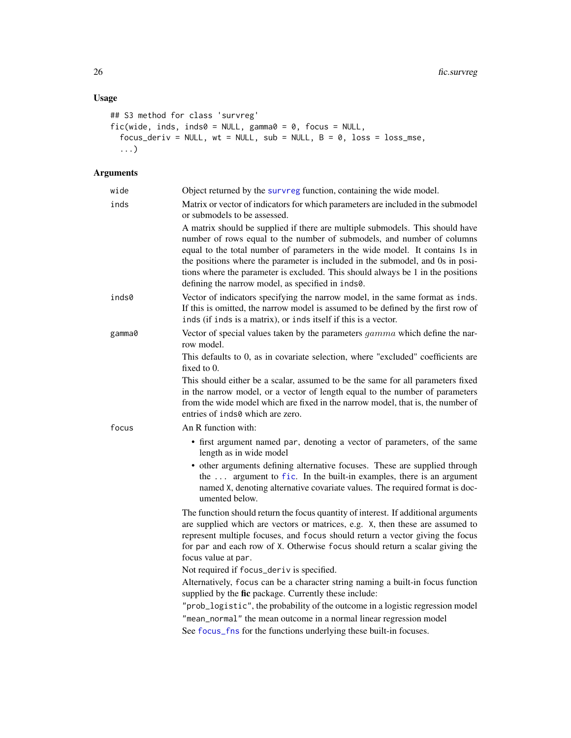### <span id="page-25-0"></span>Usage

```
## S3 method for class 'survreg'
fic(wide, inds, inds0 = NULL, gamma0 = 0, focus = NULL,
  focus_deriv = NULL, wt = NULL, sub = NULL, B = 0, loss = loss_mse,
  ...)
```

| wide   | Object returned by the survreg function, containing the wide model.                                                                                                                                                                                                                                                                                                                                                                                               |
|--------|-------------------------------------------------------------------------------------------------------------------------------------------------------------------------------------------------------------------------------------------------------------------------------------------------------------------------------------------------------------------------------------------------------------------------------------------------------------------|
| inds   | Matrix or vector of indicators for which parameters are included in the submodel<br>or submodels to be assessed.                                                                                                                                                                                                                                                                                                                                                  |
|        | A matrix should be supplied if there are multiple submodels. This should have<br>number of rows equal to the number of submodels, and number of columns<br>equal to the total number of parameters in the wide model. It contains 1s in<br>the positions where the parameter is included in the submodel, and 0s in posi-<br>tions where the parameter is excluded. This should always be 1 in the positions<br>defining the narrow model, as specified in inds0. |
| inds0  | Vector of indicators specifying the narrow model, in the same format as inds.<br>If this is omitted, the narrow model is assumed to be defined by the first row of<br>inds (if inds is a matrix), or inds itself if this is a vector.                                                                                                                                                                                                                             |
| gamma0 | Vector of special values taken by the parameters gamma which define the nar-<br>row model.                                                                                                                                                                                                                                                                                                                                                                        |
|        | This defaults to 0, as in covariate selection, where "excluded" coefficients are<br>fixed to 0.                                                                                                                                                                                                                                                                                                                                                                   |
|        | This should either be a scalar, assumed to be the same for all parameters fixed<br>in the narrow model, or a vector of length equal to the number of parameters<br>from the wide model which are fixed in the narrow model, that is, the number of<br>entries of inds0 which are zero.                                                                                                                                                                            |
| focus  | An R function with:                                                                                                                                                                                                                                                                                                                                                                                                                                               |
|        | • first argument named par, denoting a vector of parameters, of the same<br>length as in wide model                                                                                                                                                                                                                                                                                                                                                               |
|        | • other arguments defining alternative focuses. These are supplied through<br>the  argument to fic. In the built-in examples, there is an argument<br>named X, denoting alternative covariate values. The required format is doc-<br>umented below.                                                                                                                                                                                                               |
|        | The function should return the focus quantity of interest. If additional arguments<br>are supplied which are vectors or matrices, e.g. X, then these are assumed to<br>represent multiple focuses, and focus should return a vector giving the focus<br>for par and each row of X. Otherwise focus should return a scalar giving the<br>focus value at par.                                                                                                       |
|        | Not required if focus_deriv is specified.                                                                                                                                                                                                                                                                                                                                                                                                                         |
|        | Alternatively, focus can be a character string naming a built-in focus function<br>supplied by the fic package. Currently these include:                                                                                                                                                                                                                                                                                                                          |
|        | "prob_logistic", the probability of the outcome in a logistic regression model                                                                                                                                                                                                                                                                                                                                                                                    |
|        | "mean_normal" the mean outcome in a normal linear regression model                                                                                                                                                                                                                                                                                                                                                                                                |
|        | See focus_fns for the functions underlying these built-in focuses.                                                                                                                                                                                                                                                                                                                                                                                                |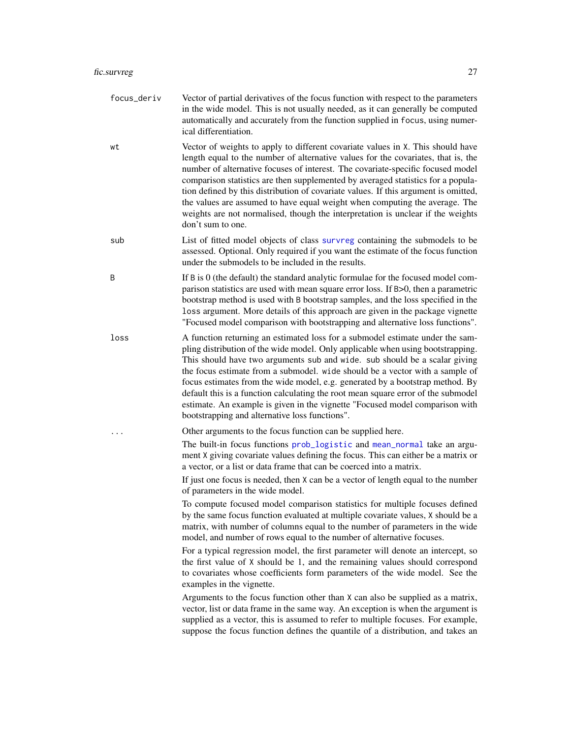- <span id="page-26-0"></span>focus\_deriv Vector of partial derivatives of the focus function with respect to the parameters in the wide model. This is not usually needed, as it can generally be computed automatically and accurately from the function supplied in focus, using numerical differentiation.
- wt Vector of weights to apply to different covariate values in X. This should have length equal to the number of alternative values for the covariates, that is, the number of alternative focuses of interest. The covariate-specific focused model comparison statistics are then supplemented by averaged statistics for a population defined by this distribution of covariate values. If this argument is omitted, the values are assumed to have equal weight when computing the average. The weights are not normalised, though the interpretation is unclear if the weights don't sum to one.
- sub List of fitted model objects of class [survreg](#page-0-0) containing the submodels to be assessed. Optional. Only required if you want the estimate of the focus function under the submodels to be included in the results.
- B If B is 0 (the default) the standard analytic formulae for the focused model comparison statistics are used with mean square error loss. If B>0, then a parametric bootstrap method is used with B bootstrap samples, and the loss specified in the loss argument. More details of this approach are given in the package vignette "Focused model comparison with bootstrapping and alternative loss functions".
- loss A function returning an estimated loss for a submodel estimate under the sampling distribution of the wide model. Only applicable when using bootstrapping. This should have two arguments sub and wide. sub should be a scalar giving the focus estimate from a submodel. wide should be a vector with a sample of focus estimates from the wide model, e.g. generated by a bootstrap method. By default this is a function calculating the root mean square error of the submodel estimate. An example is given in the vignette "Focused model comparison with bootstrapping and alternative loss functions".

Other arguments to the focus function can be supplied here.

The built-in focus functions [prob\\_logistic](#page-32-1) and [mean\\_normal](#page-32-1) take an argument X giving covariate values defining the focus. This can either be a matrix or a vector, or a list or data frame that can be coerced into a matrix.

If just one focus is needed, then X can be a vector of length equal to the number of parameters in the wide model.

To compute focused model comparison statistics for multiple focuses defined by the same focus function evaluated at multiple covariate values, X should be a matrix, with number of columns equal to the number of parameters in the wide model, and number of rows equal to the number of alternative focuses.

For a typical regression model, the first parameter will denote an intercept, so the first value of X should be 1, and the remaining values should correspond to covariates whose coefficients form parameters of the wide model. See the examples in the vignette.

Arguments to the focus function other than X can also be supplied as a matrix, vector, list or data frame in the same way. An exception is when the argument is supplied as a vector, this is assumed to refer to multiple focuses. For example, suppose the focus function defines the quantile of a distribution, and takes an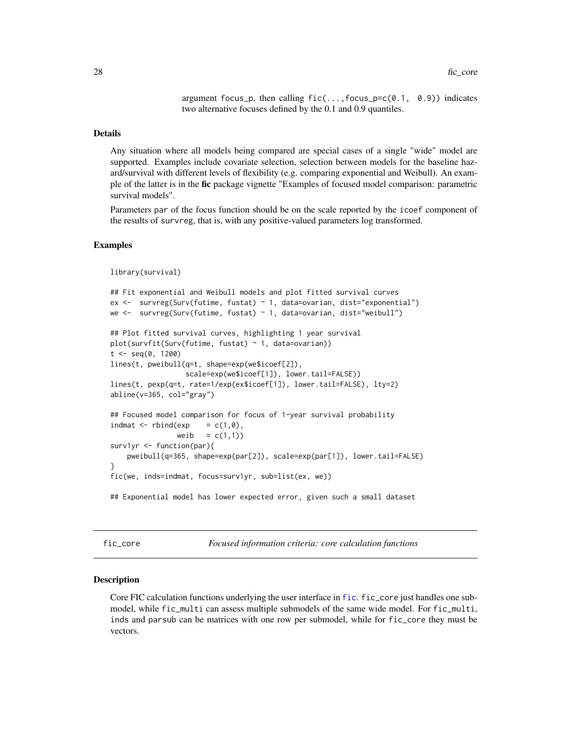argument focus\_p, then calling  $fic(...,focus_p=c(0.1, 0.9))$  indicates two alternative focuses defined by the 0.1 and 0.9 quantiles.

#### <span id="page-27-0"></span>Details

Any situation where all models being compared are special cases of a single "wide" model are supported. Examples include covariate selection, selection between models for the baseline hazard/survival with different levels of flexibility (e.g. comparing exponential and Weibull). An example of the latter is in the fic package vignette "Examples of focused model comparison: parametric survival models".

Parameters par of the focus function should be on the scale reported by the icoef component of the results of survreg, that is, with any positive-valued parameters log transformed.

### Examples

```
library(survival)
```

```
## Fit exponential and Weibull models and plot fitted survival curves
ex <- survreg(Surv(futime, fustat) ~ 1, data=ovarian, dist="exponential")
we <- survreg(Surv(futime, fustat) ~ 1, data=ovarian, dist="weibull")
## Plot fitted survival curves, highlighting 1 year survival
plot(survfit(Surv(futime, fustat) ~ 1, data=ovarian))
t < - seq(0, 1200)
lines(t, pweibull(q=t, shape=exp(we$icoef[2]),
                  scale=exp(we$icoef[1]), lower.tail=FALSE))
lines(t, pexp(q=t, rate=1/exp(ex$icoef[1]), lower.tail=FALSE), lty=2)
abline(v=365, col="gray")
## Focused model comparison for focus of 1-year survival probability
indmat \leq rbind(exp = c(1,0),
                weib = c(1,1)surv1yr <- function(par){
   pweibull(q=365, shape=exp(par[2]), scale=exp(par[1]), lower.tail=FALSE)
}
fic(we, inds=indmat, focus=surv1yr, sub=list(ex, we))
## Exponential model has lower expected error, given such a small dataset
```
fic\_core *Focused information criteria: core calculation functions*

#### Description

Core FIC calculation functions underlying the user interface in [fic](#page-8-1). fic\_core just handles one submodel, while fic\_multi can assess multiple submodels of the same wide model. For fic\_multi, inds and parsub can be matrices with one row per submodel, while for fic\_core they must be vectors.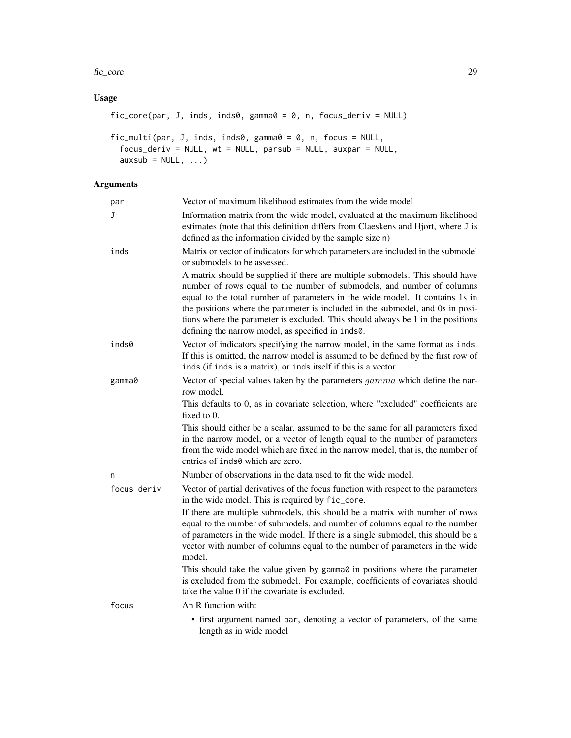fic\_core 29

### Usage

```
fic_core(par, J, inds, inds0, gamma0 = 0, n, focus_deriv = NULL)
fic_multi(par, J, inds, inds0, gamma0 = 0, n, focus = NULL,
  focus_deriv = NULL, wt = NULL, parsub = NULL, auxpar = NULL,
  auxsub = NULL, ...)
```

| par         | Vector of maximum likelihood estimates from the wide model                                                                                                                                                                                                                                                                                                                                                                                                        |
|-------------|-------------------------------------------------------------------------------------------------------------------------------------------------------------------------------------------------------------------------------------------------------------------------------------------------------------------------------------------------------------------------------------------------------------------------------------------------------------------|
| J           | Information matrix from the wide model, evaluated at the maximum likelihood<br>estimates (note that this definition differs from Claeskens and Hjort, where J is<br>defined as the information divided by the sample size n)                                                                                                                                                                                                                                      |
| inds        | Matrix or vector of indicators for which parameters are included in the submodel<br>or submodels to be assessed.                                                                                                                                                                                                                                                                                                                                                  |
|             | A matrix should be supplied if there are multiple submodels. This should have<br>number of rows equal to the number of submodels, and number of columns<br>equal to the total number of parameters in the wide model. It contains 1s in<br>the positions where the parameter is included in the submodel, and 0s in posi-<br>tions where the parameter is excluded. This should always be 1 in the positions<br>defining the narrow model, as specified in inds0. |
| inds0       | Vector of indicators specifying the narrow model, in the same format as inds.<br>If this is omitted, the narrow model is assumed to be defined by the first row of<br>inds (if inds is a matrix), or inds itself if this is a vector.                                                                                                                                                                                                                             |
| gamma0      | Vector of special values taken by the parameters <i>gamma</i> which define the nar-<br>row model.                                                                                                                                                                                                                                                                                                                                                                 |
|             | This defaults to 0, as in covariate selection, where "excluded" coefficients are<br>fixed to $0$ .                                                                                                                                                                                                                                                                                                                                                                |
|             | This should either be a scalar, assumed to be the same for all parameters fixed<br>in the narrow model, or a vector of length equal to the number of parameters<br>from the wide model which are fixed in the narrow model, that is, the number of<br>entries of inds0 which are zero.                                                                                                                                                                            |
| n           | Number of observations in the data used to fit the wide model.                                                                                                                                                                                                                                                                                                                                                                                                    |
| focus_deriv | Vector of partial derivatives of the focus function with respect to the parameters<br>in the wide model. This is required by fic_core.                                                                                                                                                                                                                                                                                                                            |
|             | If there are multiple submodels, this should be a matrix with number of rows<br>equal to the number of submodels, and number of columns equal to the number<br>of parameters in the wide model. If there is a single submodel, this should be a<br>vector with number of columns equal to the number of parameters in the wide<br>model.                                                                                                                          |
|             | This should take the value given by gamma0 in positions where the parameter<br>is excluded from the submodel. For example, coefficients of covariates should<br>take the value 0 if the covariate is excluded.                                                                                                                                                                                                                                                    |
| focus       | An R function with:                                                                                                                                                                                                                                                                                                                                                                                                                                               |
|             | • first argument named par, denoting a vector of parameters, of the same<br>length as in wide model                                                                                                                                                                                                                                                                                                                                                               |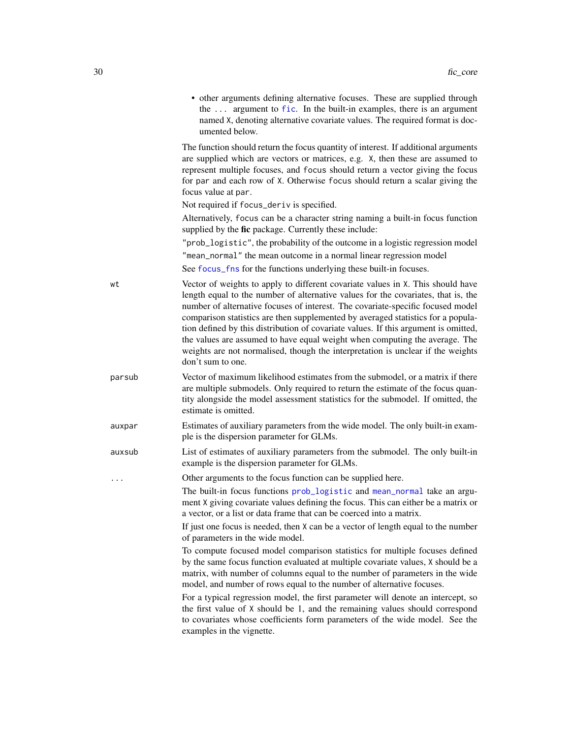<span id="page-29-0"></span>

|           | • other arguments defining alternative focuses. These are supplied through<br>the  argument to fic. In the built-in examples, there is an argument<br>named X, denoting alternative covariate values. The required format is doc-<br>umented below.                                                                                                                                                                                                                                                                                                                                                                       |
|-----------|---------------------------------------------------------------------------------------------------------------------------------------------------------------------------------------------------------------------------------------------------------------------------------------------------------------------------------------------------------------------------------------------------------------------------------------------------------------------------------------------------------------------------------------------------------------------------------------------------------------------------|
|           | The function should return the focus quantity of interest. If additional arguments<br>are supplied which are vectors or matrices, e.g. X, then these are assumed to<br>represent multiple focuses, and focus should return a vector giving the focus<br>for par and each row of X. Otherwise focus should return a scalar giving the<br>focus value at par.                                                                                                                                                                                                                                                               |
|           | Not required if focus_deriv is specified.                                                                                                                                                                                                                                                                                                                                                                                                                                                                                                                                                                                 |
|           | Alternatively, focus can be a character string naming a built-in focus function<br>supplied by the fic package. Currently these include:                                                                                                                                                                                                                                                                                                                                                                                                                                                                                  |
|           | "prob_logistic", the probability of the outcome in a logistic regression model                                                                                                                                                                                                                                                                                                                                                                                                                                                                                                                                            |
|           | "mean_normal" the mean outcome in a normal linear regression model<br>See focus_fns for the functions underlying these built-in focuses.                                                                                                                                                                                                                                                                                                                                                                                                                                                                                  |
| wt        | Vector of weights to apply to different covariate values in X. This should have<br>length equal to the number of alternative values for the covariates, that is, the<br>number of alternative focuses of interest. The covariate-specific focused model<br>comparison statistics are then supplemented by averaged statistics for a popula-<br>tion defined by this distribution of covariate values. If this argument is omitted,<br>the values are assumed to have equal weight when computing the average. The<br>weights are not normalised, though the interpretation is unclear if the weights<br>don't sum to one. |
| parsub    | Vector of maximum likelihood estimates from the submodel, or a matrix if there<br>are multiple submodels. Only required to return the estimate of the focus quan-<br>tity alongside the model assessment statistics for the submodel. If omitted, the<br>estimate is omitted.                                                                                                                                                                                                                                                                                                                                             |
| auxpar    | Estimates of auxiliary parameters from the wide model. The only built-in exam-<br>ple is the dispersion parameter for GLMs.                                                                                                                                                                                                                                                                                                                                                                                                                                                                                               |
| auxsub    | List of estimates of auxiliary parameters from the submodel. The only built-in<br>example is the dispersion parameter for GLMs.                                                                                                                                                                                                                                                                                                                                                                                                                                                                                           |
| $\ddotsc$ | Other arguments to the focus function can be supplied here.                                                                                                                                                                                                                                                                                                                                                                                                                                                                                                                                                               |
|           | The built-in focus functions prob_logistic and mean_normal take an argu-<br>ment X giving covariate values defining the focus. This can either be a matrix or<br>a vector, or a list or data frame that can be coerced into a matrix.                                                                                                                                                                                                                                                                                                                                                                                     |
|           | If just one focus is needed, then X can be a vector of length equal to the number<br>of parameters in the wide model.                                                                                                                                                                                                                                                                                                                                                                                                                                                                                                     |
|           | To compute focused model comparison statistics for multiple focuses defined<br>by the same focus function evaluated at multiple covariate values, X should be a<br>matrix, with number of columns equal to the number of parameters in the wide<br>model, and number of rows equal to the number of alternative focuses.                                                                                                                                                                                                                                                                                                  |
|           | For a typical regression model, the first parameter will denote an intercept, so<br>the first value of X should be 1, and the remaining values should correspond<br>to covariates whose coefficients form parameters of the wide model. See the<br>examples in the vignette.                                                                                                                                                                                                                                                                                                                                              |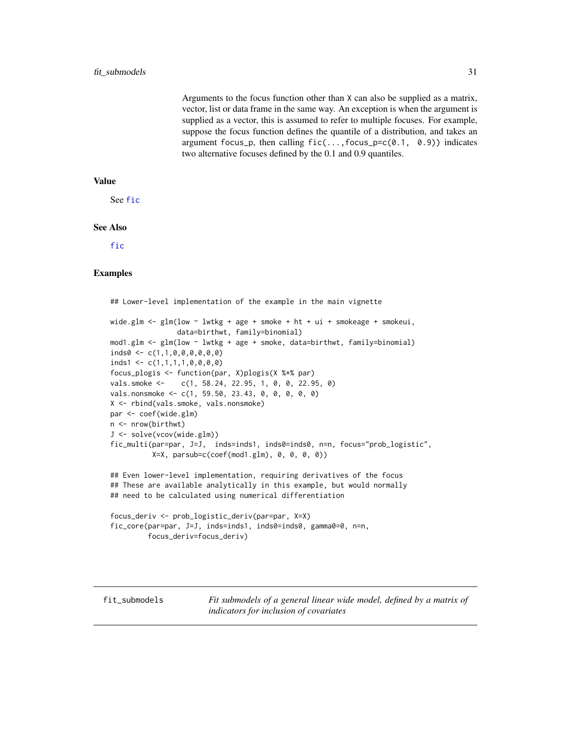<span id="page-30-0"></span>Arguments to the focus function other than X can also be supplied as a matrix, vector, list or data frame in the same way. An exception is when the argument is supplied as a vector, this is assumed to refer to multiple focuses. For example, suppose the focus function defines the quantile of a distribution, and takes an argument focus\_p, then calling  $fic(...,focus_p=c(0.1, 0.9))$  indicates two alternative focuses defined by the 0.1 and 0.9 quantiles.

### Value

See [fic](#page-8-1)

### See Also

[fic](#page-8-1)

#### Examples

## Lower-level implementation of the example in the main vignette wide.glm  $\leq$  glm(low  $\sim$  lwtkg + age + smoke + ht + ui + smokeage + smokeui, data=birthwt, family=binomial) mod1.glm <- glm(low ~ lwtkg + age + smoke, data=birthwt, family=binomial) inds0 <- c(1,1,0,0,0,0,0,0)  $inds1 \leftarrow c(1,1,1,1,0,0,0,0)$ focus\_plogis <- function(par, X)plogis(X %\*% par) vals.smoke <- c(1, 58.24, 22.95, 1, 0, 0, 22.95, 0) vals.nonsmoke <- c(1, 59.50, 23.43, 0, 0, 0, 0, 0) X <- rbind(vals.smoke, vals.nonsmoke) par <- coef(wide.glm) n <- nrow(birthwt) J <- solve(vcov(wide.glm)) fic\_multi(par=par, J=J, inds=inds1, inds0=inds0, n=n, focus="prob\_logistic",  $X=X$ , parsub=c(coef(mod1.glm),  $0, 0, 0, 0)$ ) ## Even lower-level implementation, requiring derivatives of the focus ## These are available analytically in this example, but would normally ## need to be calculated using numerical differentiation focus\_deriv <- prob\_logistic\_deriv(par=par, X=X) fic\_core(par=par, J=J, inds=inds1, inds0=inds0, gamma0=0, n=n, focus\_deriv=focus\_deriv)

fit\_submodels *Fit submodels of a general linear wide model, defined by a matrix of indicators for inclusion of covariates*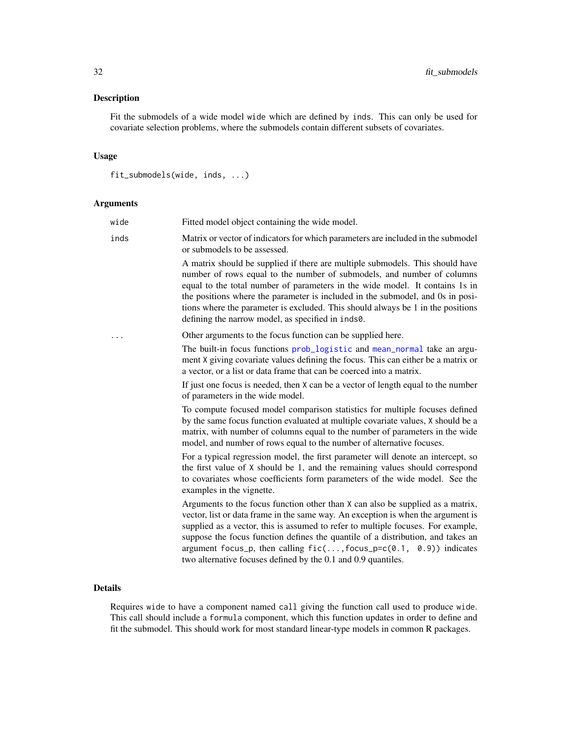### <span id="page-31-0"></span>Description

Fit the submodels of a wide model wide which are defined by inds. This can only be used for covariate selection problems, where the submodels contain different subsets of covariates.

### Usage

```
fit_submodels(wide, inds, ...)
```
### Arguments

| wide | Fitted model object containing the wide model.                                                                                                                                                                                                                                                                                                                                                                                                                                      |
|------|-------------------------------------------------------------------------------------------------------------------------------------------------------------------------------------------------------------------------------------------------------------------------------------------------------------------------------------------------------------------------------------------------------------------------------------------------------------------------------------|
| inds | Matrix or vector of indicators for which parameters are included in the submodel<br>or submodels to be assessed.                                                                                                                                                                                                                                                                                                                                                                    |
|      | A matrix should be supplied if there are multiple submodels. This should have<br>number of rows equal to the number of submodels, and number of columns<br>equal to the total number of parameters in the wide model. It contains 1s in<br>the positions where the parameter is included in the submodel, and 0s in posi-<br>tions where the parameter is excluded. This should always be 1 in the positions<br>defining the narrow model, as specified in inds0.                   |
|      | Other arguments to the focus function can be supplied here.                                                                                                                                                                                                                                                                                                                                                                                                                         |
|      | The built-in focus functions prob_logistic and mean_normal take an argu-<br>ment X giving covariate values defining the focus. This can either be a matrix or<br>a vector, or a list or data frame that can be coerced into a matrix.                                                                                                                                                                                                                                               |
|      | If just one focus is needed, then X can be a vector of length equal to the number<br>of parameters in the wide model.                                                                                                                                                                                                                                                                                                                                                               |
|      | To compute focused model comparison statistics for multiple focuses defined<br>by the same focus function evaluated at multiple covariate values, X should be a<br>matrix, with number of columns equal to the number of parameters in the wide<br>model, and number of rows equal to the number of alternative focuses.                                                                                                                                                            |
|      | For a typical regression model, the first parameter will denote an intercept, so<br>the first value of X should be 1, and the remaining values should correspond<br>to covariates whose coefficients form parameters of the wide model. See the<br>examples in the vignette.                                                                                                                                                                                                        |
|      | Arguments to the focus function other than X can also be supplied as a matrix,<br>vector, list or data frame in the same way. An exception is when the argument is<br>supplied as a vector, this is assumed to refer to multiple focuses. For example,<br>suppose the focus function defines the quantile of a distribution, and takes an<br>argument focus_p, then calling $fic(, focus_p=c(0.1, 0.9))$ indicates<br>two alternative focuses defined by the 0.1 and 0.9 quantiles. |

### Details

Requires wide to have a component named call giving the function call used to produce wide. This call should include a formula component, which this function updates in order to define and fit the submodel. This should work for most standard linear-type models in common R packages.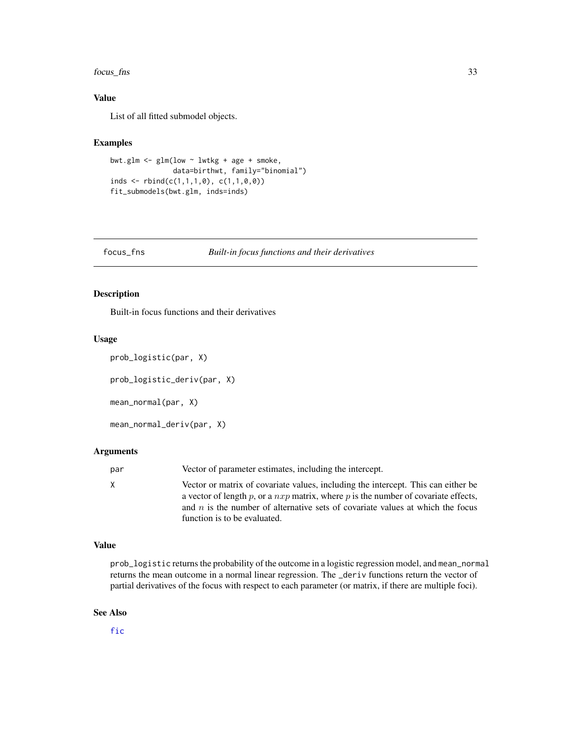<span id="page-32-0"></span>focus\_fns 33

### Value

List of all fitted submodel objects.

### Examples

```
bwt.glm <- glm(low ~ lwtkg + age + smoke,
               data=birthwt, family="binomial")
inds \le rbind(c(1,1,1,0), c(1,1,0,0))
fit_submodels(bwt.glm, inds=inds)
```
<span id="page-32-2"></span>focus\_fns *Built-in focus functions and their derivatives*

### <span id="page-32-1"></span>Description

Built-in focus functions and their derivatives

### Usage

```
prob_logistic(par, X)
```

```
prob_logistic_deriv(par, X)
```
mean\_normal(par, X)

```
mean_normal_deriv(par, X)
```
### Arguments

| par | Vector of parameter estimates, including the intercept.                                                                                                                                                                                                                                       |
|-----|-----------------------------------------------------------------------------------------------------------------------------------------------------------------------------------------------------------------------------------------------------------------------------------------------|
| X   | Vector or matrix of covariate values, including the intercept. This can either be<br>a vector of length p, or a $nxp$ matrix, where p is the number of covariate effects,<br>and $n$ is the number of alternative sets of covariate values at which the focus<br>function is to be evaluated. |

#### Value

prob\_logistic returns the probability of the outcome in a logistic regression model, and mean\_normal returns the mean outcome in a normal linear regression. The \_deriv functions return the vector of partial derivatives of the focus with respect to each parameter (or matrix, if there are multiple foci).

#### See Also

[fic](#page-8-1)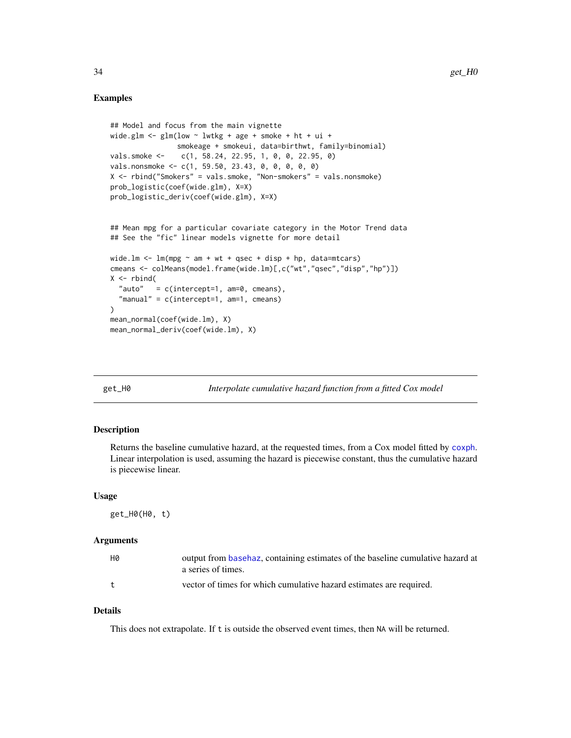### <span id="page-33-0"></span>Examples

```
## Model and focus from the main vignette
wide.glm \le glm(low \sim lwtkg + age + smoke + ht + ui +
                smokeage + smokeui, data=birthwt, family=binomial)
vals.smoke <- c(1, 58.24, 22.95, 1, 0, 0, 22.95, 0)
vals.nonsmoke <- c(1, 59.50, 23.43, 0, 0, 0, 0, 0)
X <- rbind("Smokers" = vals.smoke, "Non-smokers" = vals.nonsmoke)
prob_logistic(coef(wide.glm), X=X)
prob_logistic_deriv(coef(wide.glm), X=X)
## Mean mpg for a particular covariate category in the Motor Trend data
## See the "fic" linear models vignette for more detail
wide.lm \leq lm(mpg \sim am + wt + qsec + disp + hp, data=mtcars)
cmeans <- colMeans(model.frame(wide.lm)[,c("wt","qsec","disp","hp")])
X \leftarrow \text{rbind}("auto" = c(intexcept=1, am=0, cmeans),
  "manual" = c(interept=1, am=1, cmeans))
mean_normal(coef(wide.lm), X)
mean_normal_deriv(coef(wide.lm), X)
```
<span id="page-33-1"></span>

get\_H0 *Interpolate cumulative hazard function from a fitted Cox model*

### Description

Returns the baseline cumulative hazard, at the requested times, from a Cox model fitted by [coxph](#page-0-0). Linear interpolation is used, assuming the hazard is piecewise constant, thus the cumulative hazard is piecewise linear.

#### Usage

get\_H0(H0, t)

#### **Arguments**

| H0  | output from basehaz, containing estimates of the baseline cumulative hazard at<br>a series of times. |
|-----|------------------------------------------------------------------------------------------------------|
| $+$ | vector of times for which cumulative hazard estimates are required.                                  |

### Details

This does not extrapolate. If t is outside the observed event times, then NA will be returned.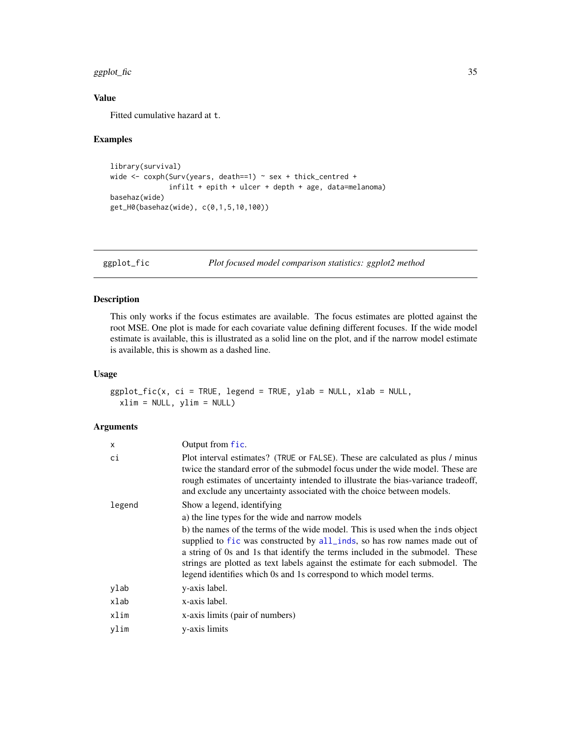#### <span id="page-34-0"></span>ggplot\_fic 35

### Value

Fitted cumulative hazard at t.

### Examples

```
library(survival)
wide <- coxph(Surv(years, death==1) ~ sex + thick_centred +
              infilt + epith + ulcer + depth + age, data=melanoma)
basehaz(wide)
get_H0(basehaz(wide), c(0,1,5,10,100))
```
<span id="page-34-1"></span>ggplot\_fic *Plot focused model comparison statistics: ggplot2 method*

### Description

This only works if the focus estimates are available. The focus estimates are plotted against the root MSE. One plot is made for each covariate value defining different focuses. If the wide model estimate is available, this is illustrated as a solid line on the plot, and if the narrow model estimate is available, this is showm as a dashed line.

### Usage

```
ggplot_fic(x, ci = TRUE, legend = TRUE, ylab = NULL, xlab = NULL,
 xlim = NULL, ylim = NULL)
```

| X      | Output from fic.                                                                                                                                                                                                                                                                                                                                                                                     |
|--------|------------------------------------------------------------------------------------------------------------------------------------------------------------------------------------------------------------------------------------------------------------------------------------------------------------------------------------------------------------------------------------------------------|
| сi     | Plot interval estimates? (TRUE or FALSE). These are calculated as plus / minus<br>twice the standard error of the submodel focus under the wide model. These are<br>rough estimates of uncertainty intended to illustrate the bias-variance tradeoff,<br>and exclude any uncertainty associated with the choice between models.                                                                      |
| legend | Show a legend, identifying                                                                                                                                                                                                                                                                                                                                                                           |
|        | a) the line types for the wide and narrow models                                                                                                                                                                                                                                                                                                                                                     |
|        | b) the names of the terms of the wide model. This is used when the inds object<br>supplied to fic was constructed by all_inds, so has row names made out of<br>a string of 0s and 1s that identify the terms included in the submodel. These<br>strings are plotted as text labels against the estimate for each submodel. The<br>legend identifies which 0s and 1s correspond to which model terms. |
| ylab   | y-axis label.                                                                                                                                                                                                                                                                                                                                                                                        |
| xlab   | x-axis label.                                                                                                                                                                                                                                                                                                                                                                                        |
| xlim   | x-axis limits (pair of numbers)                                                                                                                                                                                                                                                                                                                                                                      |
| ylim   | y-axis limits                                                                                                                                                                                                                                                                                                                                                                                        |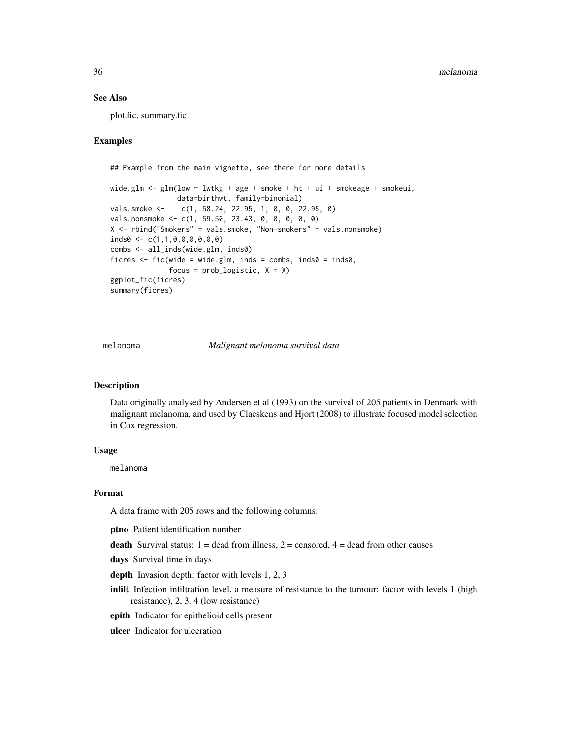### See Also

plot.fic, summary.fic

### Examples

```
## Example from the main vignette, see there for more details
wide.glm \leq glm(low \sim lwtkg + age + smoke + ht + ui + smokeage + smokeui,
                data=birthwt, family=binomial)
vals.smoke <- c(1, 58.24, 22.95, 1, 0, 0, 22.95, 0)
vals.nonsmoke <- c(1, 59.50, 23.43, 0, 0, 0, 0, 0)
X <- rbind("Smokers" = vals.smoke, "Non-smokers" = vals.nonsmoke)
inds0 <- c(1,1,0,0,0,0,0,0)
combs <- all_inds(wide.glm, inds0)
ficres \leq fic(wide = wide.glm, inds = combs, inds0 = inds0,
              focus = prob\_logistic, X = Xggplot_fic(ficres)
summary(ficres)
```
melanoma *Malignant melanoma survival data*

#### Description

Data originally analysed by Andersen et al (1993) on the survival of 205 patients in Denmark with malignant melanoma, and used by Claeskens and Hjort (2008) to illustrate focused model selection in Cox regression.

#### Usage

melanoma

#### Format

A data frame with 205 rows and the following columns:

ptno Patient identification number

**death** Survival status:  $1 =$  dead from illness,  $2 =$  censored,  $4 =$  dead from other causes

days Survival time in days

- depth Invasion depth: factor with levels 1, 2, 3
- infilt Infection infiltration level, a measure of resistance to the tumour: factor with levels 1 (high resistance), 2, 3, 4 (low resistance)
- epith Indicator for epithelioid cells present
- ulcer Indicator for ulceration

<span id="page-35-0"></span>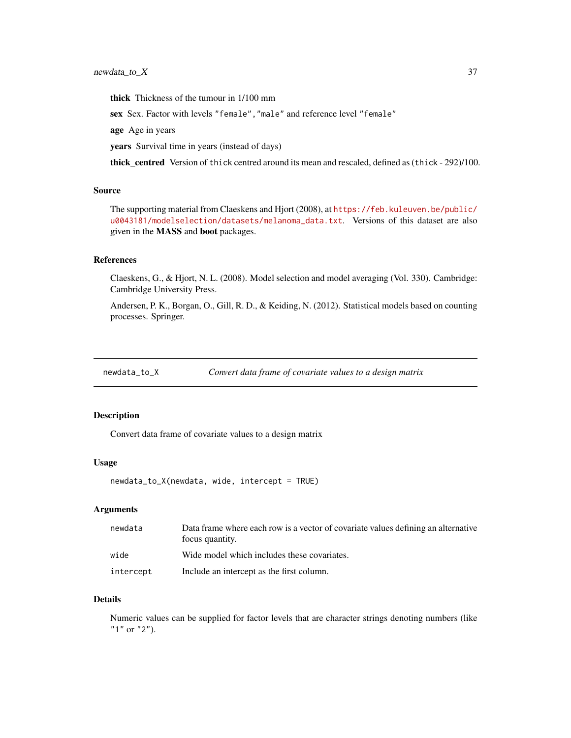### <span id="page-36-0"></span>newdata\_to\_X 37

thick Thickness of the tumour in 1/100 mm

sex Sex. Factor with levels "female","male" and reference level "female"

age Age in years

years Survival time in years (instead of days)

thick\_centred Version of thick centred around its mean and rescaled, defined as (thick - 292)/100.

### Source

The supporting material from Claeskens and Hjort (2008), at [https://feb.kuleuven.be/public/](https://feb.kuleuven.be/public/u0043181/modelselection/datasets/melanoma_data.txt) [u0043181/modelselection/datasets/melanoma\\_data.txt](https://feb.kuleuven.be/public/u0043181/modelselection/datasets/melanoma_data.txt). Versions of this dataset are also given in the MASS and boot packages.

#### References

Claeskens, G., & Hjort, N. L. (2008). Model selection and model averaging (Vol. 330). Cambridge: Cambridge University Press.

Andersen, P. K., Borgan, O., Gill, R. D., & Keiding, N. (2012). Statistical models based on counting processes. Springer.

newdata\_to\_X *Convert data frame of covariate values to a design matrix*

### Description

Convert data frame of covariate values to a design matrix

#### Usage

```
newdata_to_X(newdata, wide, intercept = TRUE)
```
#### Arguments

| newdata   | Data frame where each row is a vector of covariate values defining an alternative<br>focus quantity. |
|-----------|------------------------------------------------------------------------------------------------------|
| wide      | Wide model which includes these covariates.                                                          |
| intercept | Include an intercept as the first column.                                                            |

### Details

Numeric values can be supplied for factor levels that are character strings denoting numbers (like "1" or "2").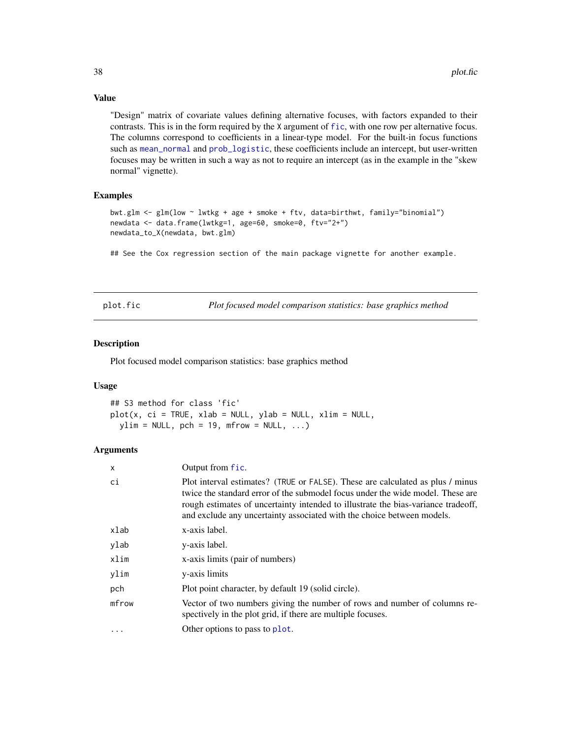### Value

"Design" matrix of covariate values defining alternative focuses, with factors expanded to their contrasts. This is in the form required by the X argument of [fic](#page-8-1), with one row per alternative focus. The columns correspond to coefficients in a linear-type model. For the built-in focus functions such as [mean\\_normal](#page-32-1) and [prob\\_logistic](#page-32-1), these coefficients include an intercept, but user-written focuses may be written in such a way as not to require an intercept (as in the example in the "skew normal" vignette).

### Examples

```
bwt.glm <- glm(low ~ lwtkg + age + smoke + ftv, data=birthwt, family="binomial")
newdata <- data.frame(lwtkg=1, age=60, smoke=0, ftv="2+")
newdata_to_X(newdata, bwt.glm)
```
## See the Cox regression section of the main package vignette for another example.

<span id="page-37-1"></span>plot.fic *Plot focused model comparison statistics: base graphics method*

#### Description

Plot focused model comparison statistics: base graphics method

#### Usage

## S3 method for class 'fic' plot(x, ci = TRUE, xlab = NULL, ylab = NULL, xlim = NULL,  $ylim = NULL$ ,  $pch = 19$ ,  $mfrom = NULL$ , ...)

| X        | Output from fic.                                                                                                                                                                                                                                                                                                                |
|----------|---------------------------------------------------------------------------------------------------------------------------------------------------------------------------------------------------------------------------------------------------------------------------------------------------------------------------------|
| сi       | Plot interval estimates? (TRUE or FALSE). These are calculated as plus / minus<br>twice the standard error of the submodel focus under the wide model. These are<br>rough estimates of uncertainty intended to illustrate the bias-variance tradeoff,<br>and exclude any uncertainty associated with the choice between models. |
| xlab     | x-axis label.                                                                                                                                                                                                                                                                                                                   |
| ylab     | y-axis label.                                                                                                                                                                                                                                                                                                                   |
| xlim     | x-axis limits (pair of numbers)                                                                                                                                                                                                                                                                                                 |
| ylim     | y-axis limits                                                                                                                                                                                                                                                                                                                   |
| pch      | Plot point character, by default 19 (solid circle).                                                                                                                                                                                                                                                                             |
| mfrow    | Vector of two numbers giving the number of rows and number of columns re-<br>spectively in the plot grid, if there are multiple focuses.                                                                                                                                                                                        |
| $\cdots$ | Other options to pass to plot.                                                                                                                                                                                                                                                                                                  |

<span id="page-37-0"></span>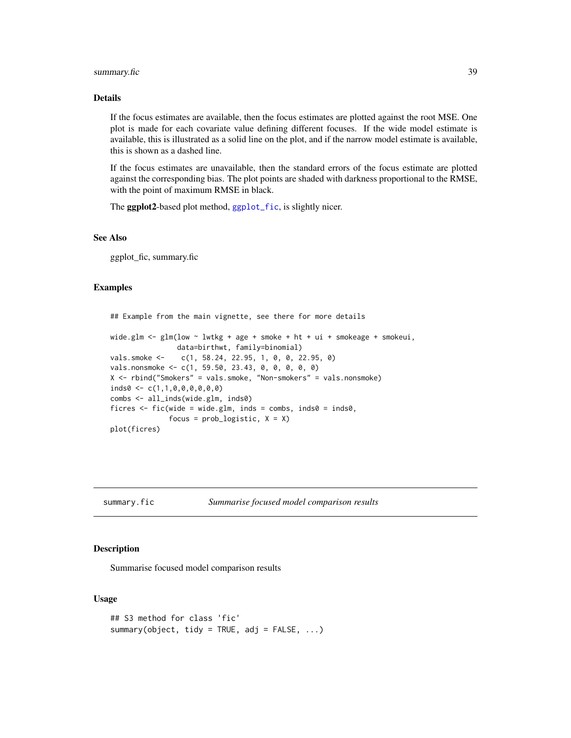### <span id="page-38-0"></span>summary.fic 39

#### Details

If the focus estimates are available, then the focus estimates are plotted against the root MSE. One plot is made for each covariate value defining different focuses. If the wide model estimate is available, this is illustrated as a solid line on the plot, and if the narrow model estimate is available, this is shown as a dashed line.

If the focus estimates are unavailable, then the standard errors of the focus estimate are plotted against the corresponding bias. The plot points are shaded with darkness proportional to the RMSE, with the point of maximum RMSE in black.

The ggplot2-based plot method, [ggplot\\_fic](#page-34-1), is slightly nicer.

#### See Also

ggplot\_fic, summary.fic

### Examples

```
## Example from the main vignette, see there for more details
wide.glm \leq glm(low \sim lwtkg + age + smoke + ht + ui + smokeage + smokeui,
                data=birthwt, family=binomial)
vals.smoke <- c(1, 58.24, 22.95, 1, 0, 0, 22.95, 0)
vals.nonsmoke <- c(1, 59.50, 23.43, 0, 0, 0, 0, 0)
X <- rbind("Smokers" = vals.smoke, "Non-smokers" = vals.nonsmoke)
inds0 \leq c(1,1,0,0,0,0,0,0)combs <- all_inds(wide.glm, inds0)
ficres \leq fic(wide = wide.glm, inds = combs, inds0 = inds0,
              focus = prob\_logistic, X = Xplot(ficres)
```
summary.fic *Summarise focused model comparison results*

#### Description

Summarise focused model comparison results

### Usage

```
## S3 method for class 'fic'
summary(object, tidy = TRUE, adj = FALSE, ...)
```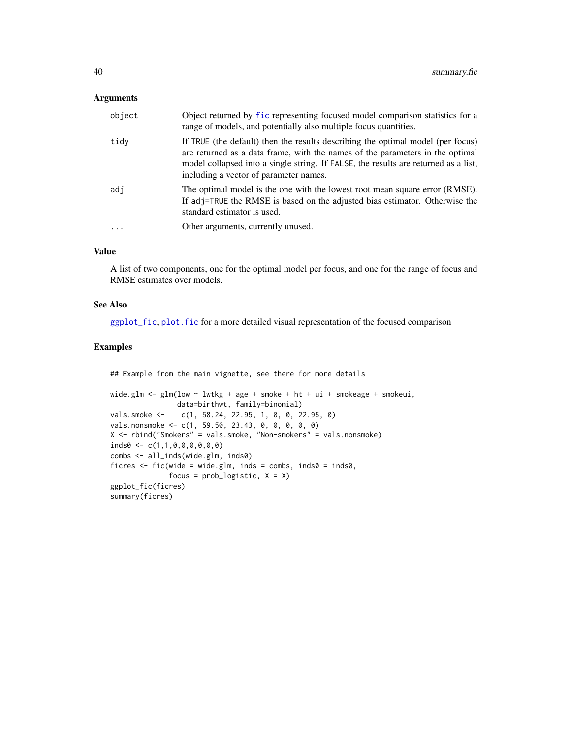### <span id="page-39-0"></span>Arguments

| object | Object returned by fic representing focused model comparison statistics for a<br>range of models, and potentially also multiple focus quantities.                                                                                                                                                 |
|--------|---------------------------------------------------------------------------------------------------------------------------------------------------------------------------------------------------------------------------------------------------------------------------------------------------|
| tidy   | If TRUE (the default) then the results describing the optimal model (per focus)<br>are returned as a data frame, with the names of the parameters in the optimal<br>model collapsed into a single string. If FALSE, the results are returned as a list,<br>including a vector of parameter names. |
| adj    | The optimal model is the one with the lowest root mean square error (RMSE).<br>If adj=TRUE the RMSE is based on the adjusted bias estimator. Otherwise the<br>standard estimator is used.                                                                                                         |
| .      | Other arguments, currently unused.                                                                                                                                                                                                                                                                |
|        |                                                                                                                                                                                                                                                                                                   |

### Value

A list of two components, one for the optimal model per focus, and one for the range of focus and RMSE estimates over models.

### See Also

[ggplot\\_fic](#page-34-1), [plot.fic](#page-37-1) for a more detailed visual representation of the focused comparison

#### Examples

```
## Example from the main vignette, see there for more details
wide.glm <- glm(low ~ lwtkg + age + smoke + ht + ui + smokeage + smokeui,
               data=birthwt, family=binomial)
vals.smoke <- c(1, 58.24, 22.95, 1, 0, 0, 22.95, 0)
vals.nonsmoke <- c(1, 59.50, 23.43, 0, 0, 0, 0, 0)
X <- rbind("Smokers" = vals.smoke, "Non-smokers" = vals.nonsmoke)
inds0 \leftarrow c(1,1,0,0,0,0,0,0)combs <- all_inds(wide.glm, inds0)
ficres \leq fic(wide = wide.glm, inds = combs, inds0 = inds0,
              focus = prob\_logistic, X = Xggplot_fic(ficres)
summary(ficres)
```